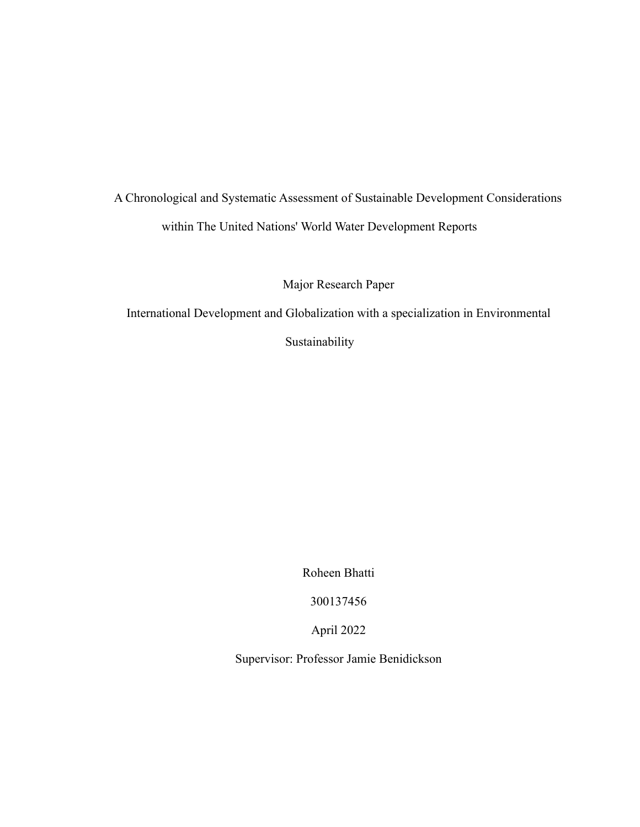# A Chronological and Systematic Assessment of Sustainable Development Considerations within The United Nations' World Water Development Reports

Major Research Paper

International Development and Globalization with a specialization in Environmental

Sustainability

Roheen Bhatti

300137456

April 2022

Supervisor: Professor Jamie Benidickson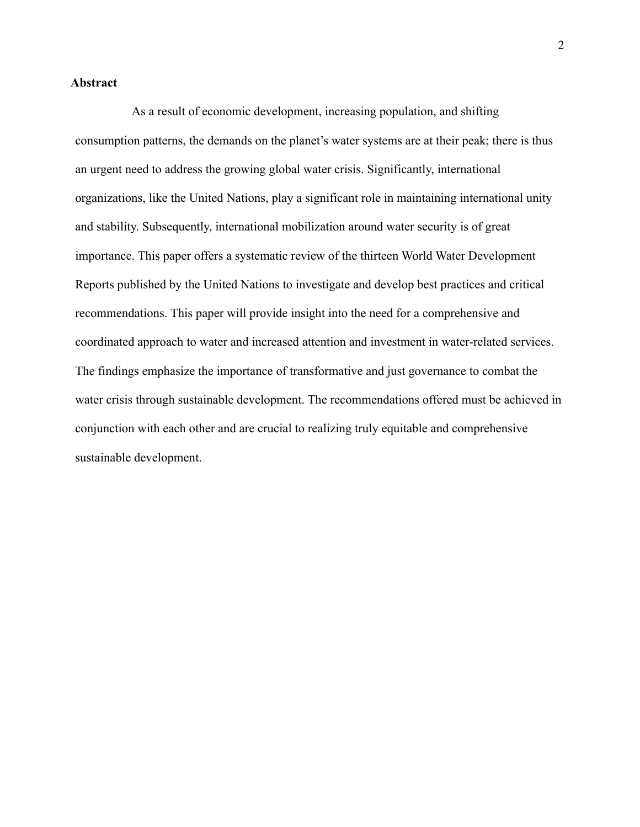# <span id="page-1-0"></span>**Abstract**

As a result of economic development, increasing population, and shifting consumption patterns, the demands on the planet's water systems are at their peak; there is thus an urgent need to address the growing global water crisis. Significantly, international organizations, like the United Nations, play a significant role in maintaining international unity and stability. Subsequently, international mobilization around water security is of great importance. This paper offers a systematic review of the thirteen World Water Development Reports published by the United Nations to investigate and develop best practices and critical recommendations. This paper will provide insight into the need for a comprehensive and coordinated approach to water and increased attention and investment in water-related services. The findings emphasize the importance of transformative and just governance to combat the water crisis through sustainable development. The recommendations offered must be achieved in conjunction with each other and are crucial to realizing truly equitable and comprehensive sustainable development.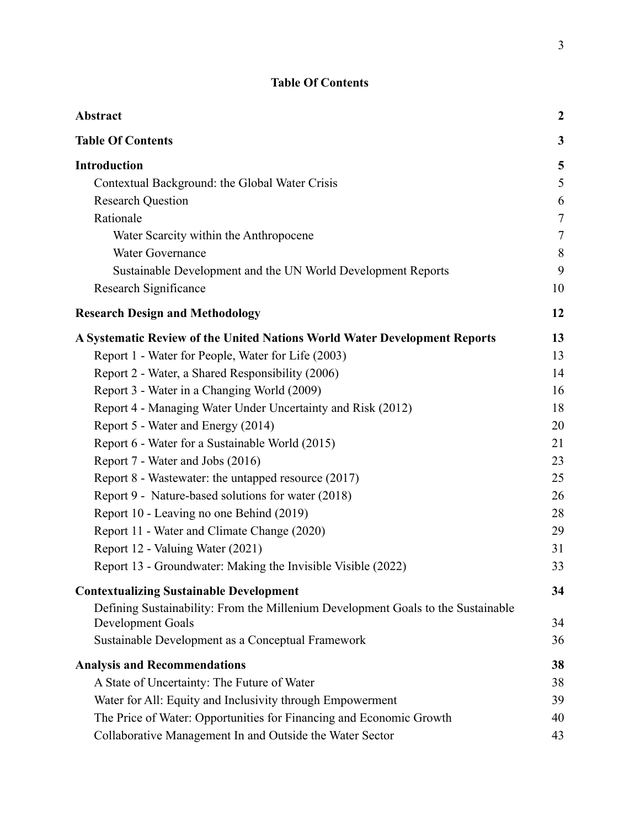# **Table Of Contents**

<span id="page-2-0"></span>

| Abstract                                                                         | $\boldsymbol{2}$ |
|----------------------------------------------------------------------------------|------------------|
| <b>Table Of Contents</b>                                                         | 3                |
| <b>Introduction</b>                                                              | 5                |
| Contextual Background: the Global Water Crisis                                   | 5                |
| <b>Research Question</b>                                                         | 6                |
| Rationale                                                                        | $\overline{7}$   |
| Water Scarcity within the Anthropocene                                           | $\tau$           |
| <b>Water Governance</b>                                                          | 8                |
| Sustainable Development and the UN World Development Reports                     | 9                |
| Research Significance                                                            | 10               |
| <b>Research Design and Methodology</b>                                           | 12               |
| A Systematic Review of the United Nations World Water Development Reports        | 13               |
| Report 1 - Water for People, Water for Life (2003)                               | 13               |
| Report 2 - Water, a Shared Responsibility (2006)                                 | 14               |
| Report 3 - Water in a Changing World (2009)                                      | 16               |
| Report 4 - Managing Water Under Uncertainty and Risk (2012)                      | 18               |
| Report 5 - Water and Energy (2014)                                               | 20               |
| Report 6 - Water for a Sustainable World (2015)                                  | 21               |
| Report 7 - Water and Jobs (2016)                                                 | 23               |
| Report 8 - Wastewater: the untapped resource (2017)                              | 25               |
| Report 9 - Nature-based solutions for water (2018)                               | 26               |
| Report 10 - Leaving no one Behind (2019)                                         | 28               |
| Report 11 - Water and Climate Change (2020)                                      | 29               |
| Report 12 - Valuing Water (2021)                                                 | 31               |
| Report 13 - Groundwater: Making the Invisible Visible (2022)                     | 33               |
| <b>Contextualizing Sustainable Development</b>                                   | 34               |
| Defining Sustainability: From the Millenium Development Goals to the Sustainable |                  |
| Development Goals                                                                | 34               |
| Sustainable Development as a Conceptual Framework                                | 36               |
| <b>Analysis and Recommendations</b>                                              | 38               |
| A State of Uncertainty: The Future of Water                                      | 38               |
| Water for All: Equity and Inclusivity through Empowerment                        | 39               |
| The Price of Water: Opportunities for Financing and Economic Growth              | 40               |
| Collaborative Management In and Outside the Water Sector                         | 43               |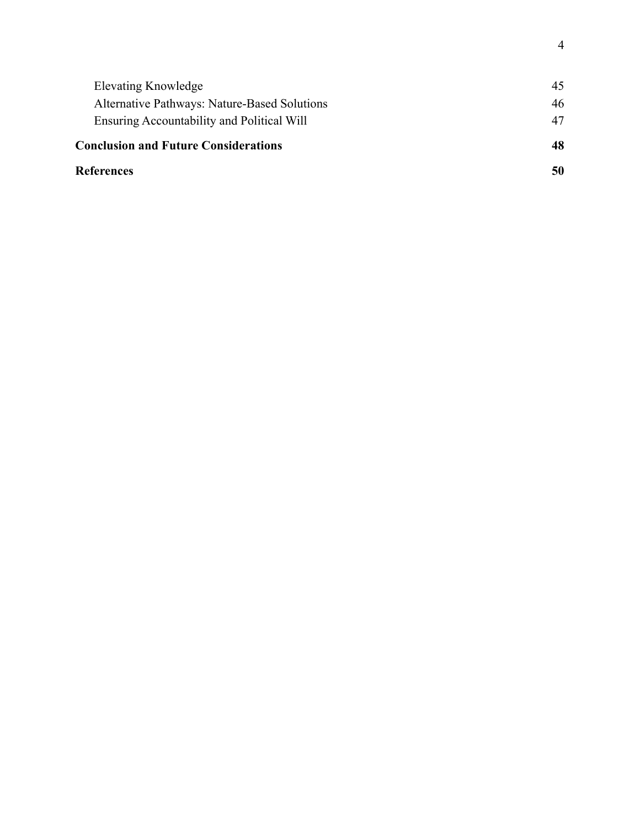| <b>References</b>                            | 50 |
|----------------------------------------------|----|
| <b>Conclusion and Future Considerations</b>  | 48 |
| Ensuring Accountability and Political Will   | 47 |
| Alternative Pathways: Nature-Based Solutions | 46 |
| Elevating Knowledge                          | 45 |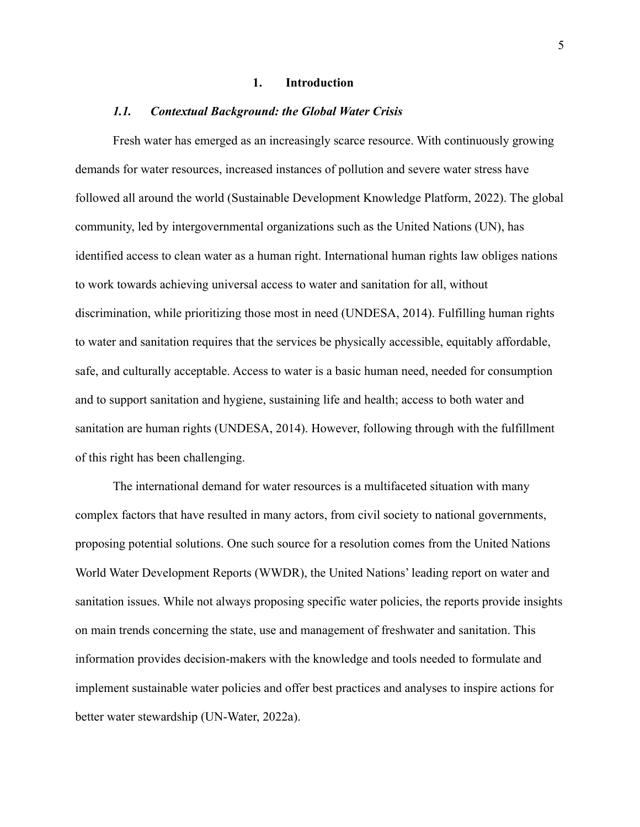#### **1. Introduction**

#### <span id="page-4-0"></span>*1.1. Contextual Background: the Global Water Crisis*

<span id="page-4-1"></span>Fresh water has emerged as an increasingly scarce resource. With continuously growing demands for water resources, increased instances of pollution and severe water stress have followed all around the world (Sustainable Development Knowledge Platform, 2022). The global community, led by intergovernmental organizations such as the United Nations (UN), has identified access to clean water as a human right. International human rights law obliges nations to work towards achieving universal access to water and sanitation for all, without discrimination, while prioritizing those most in need [\(UNDESA, 2014\)](https://www.zotero.org/google-docs/?xwsL0x). Fulfilling human rights to water and sanitation requires that the services be physically accessible, equitably affordable, safe, and culturally acceptable. Access to water is a basic human need, needed for consumption and to support sanitation and hygiene, sustaining life and health; access to both water and sanitation are human rights [\(UNDESA, 2014\).](https://www.zotero.org/google-docs/?lA7O7w) However, following through with the fulfillment of this right has been challenging.

The international demand for water resources is a multifaceted situation with many complex factors that have resulted in many actors, from civil society to national governments, proposing potential solutions. One such source for a resolution comes from the United Nations World Water Development Reports (WWDR), the United Nations' leading report on water and sanitation issues. While not always proposing specific water policies, the reports provide insights on main trends concerning the state, use and management of freshwater and sanitation. This information provides decision-makers with the knowledge and tools needed to formulate and implement sustainable water policies and offer best practices and analyses to inspire actions for better water stewardship (UN-Water, 2022a).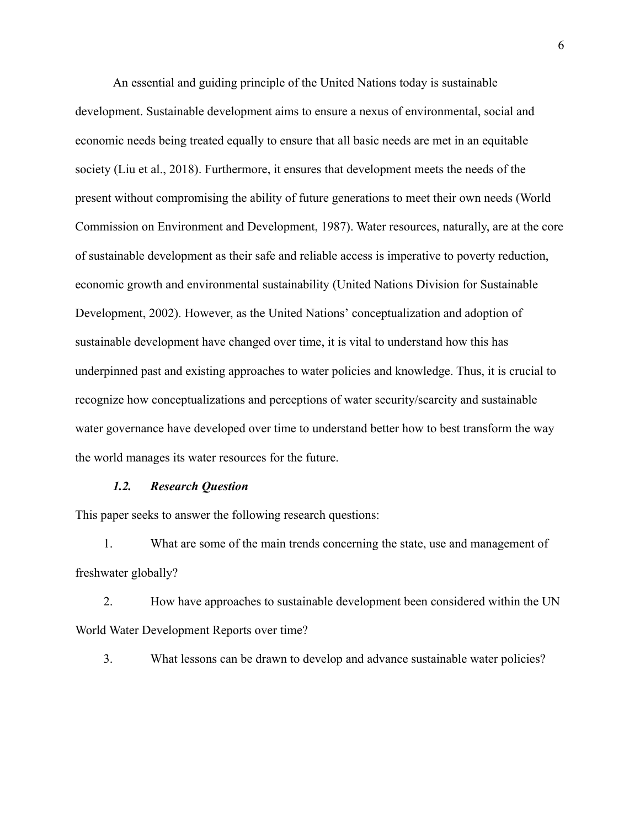An essential and guiding principle of the United Nations today is sustainable development. Sustainable development aims to ensure a nexus of environmental, social and economic needs being treated equally to ensure that all basic needs are met in an equitable society [\(Liu et al., 2018\).](https://www.zotero.org/google-docs/?ILPCrd) Furthermore, it ensures that development meets the needs of the present without compromising the ability of future generations to meet their own needs (World Commission on Environment and Development, 1987). Water resources, naturally, are at the core of sustainable development as their safe and reliable access is imperative to poverty reduction, economic growth and environmental sustainability (United [Nations Division for Sustainable](https://www.zotero.org/google-docs/?Dt1ICS) [Development, 2002\).](https://www.zotero.org/google-docs/?Dt1ICS) However, as the United Nations' conceptualization and adoption of sustainable development have changed over time, it is vital to understand how this has underpinned past and existing approaches to water policies and knowledge. Thus, it is crucial to recognize how conceptualizations and perceptions of water security/scarcity and sustainable water governance have developed over time to understand better how to best transform the way the world manages its water resources for the future.

#### *1.2. Research Question*

<span id="page-5-0"></span>This paper seeks to answer the following research questions:

1. What are some of the main trends concerning the state, use and management of freshwater globally?

2. How have approaches to sustainable development been considered within the UN World Water Development Reports over time?

3. What lessons can be drawn to develop and advance sustainable water policies?

6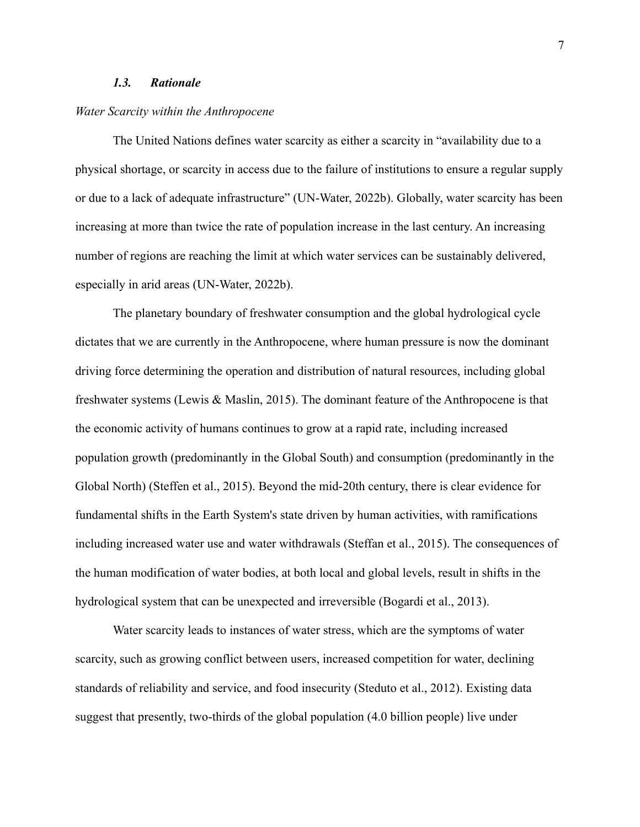# *1.3. Rationale*

#### <span id="page-6-1"></span><span id="page-6-0"></span>*Water Scarcity within the Anthropocene*

The United Nations defines water scarcity as either a scarcity in "availability due to a physical shortage, or scarcity in access due to the failure of institutions to ensure a regular supply or due to a lack of adequate infrastructure" (UN-Water, 2022b). Globally, water scarcity has been increasing at more than twice the rate of population increase in the last century. An increasing number of regions are reaching the limit at which water services can be sustainably delivered, especially in arid areas (UN-Water, 2022b).

The planetary boundary of freshwater consumption and the global hydrological cycle dictates that we are currently in the Anthropocene, where human pressure is now the dominant driving force determining the operation and distribution of natural resources, including global freshwater systems (Lewis & Maslin, 2015). The dominant feature of the Anthropocene is that the economic activity of humans continues to grow at a rapid rate, including increased population growth (predominantly in the Global South) and consumption (predominantly in the Global North) (Steffen et al., 2015). Beyond the mid-20th century, there is clear evidence for fundamental shifts in the Earth System's state driven by human activities, with ramifications including increased water use and water withdrawals (Steffan et al., 2015). The consequences of the human modification of water bodies, at both local and global levels, result in shifts in the hydrological system that can be unexpected and irreversible (Bogardi et al., 2013).

Water scarcity leads to instances of water stress, which are the symptoms of water scarcity, such as growing conflict between users, increased competition for water, declining standards of reliability and service, and food insecurity (Steduto et al., 2012). Existing data suggest that presently, two-thirds of the global population (4.0 billion people) live under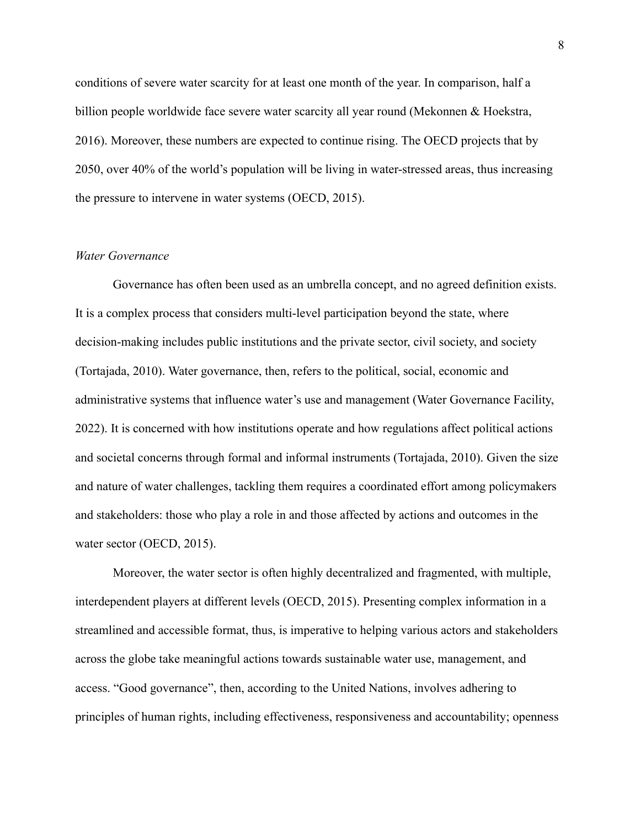conditions of severe water scarcity for at least one month of the year. In comparison, half a billion people worldwide face severe water scarcity all year round (Mekonnen & Hoekstra, 2016). Moreover, these numbers are expected to continue rising. The OECD projects that by 2050, over 40% of the world's population will be living in water-stressed areas, thus increasing the pressure to intervene in water systems (OECD, 2015).

#### <span id="page-7-0"></span>*Water Governance*

Governance has often been used as an umbrella concept, and no agreed definition exists. It is a complex process that considers multi-level participation beyond the state, where decision-making includes public institutions and the private sector, civil society, and society (Tortajada, 2010). Water governance, then, refers to the political, social, economic and administrative systems that influence water's use and management (Water Governance Facility, 2022). It is concerned with how institutions operate and how regulations affect political actions and societal concerns through formal and informal instruments (Tortajada, 2010). Given the size and nature of water challenges, tackling them requires a coordinated effort among policymakers and stakeholders: those who play a role in and those affected by actions and outcomes in the water sector (OECD, 2015).

Moreover, the water sector is often highly decentralized and fragmented, with multiple, interdependent players at different levels (OECD, 2015). Presenting complex information in a streamlined and accessible format, thus, is imperative to helping various actors and stakeholders across the globe take meaningful actions towards sustainable water use, management, and access. "Good governance", then, according to the United Nations, involves adhering to principles of human rights, including effectiveness, responsiveness and accountability; openness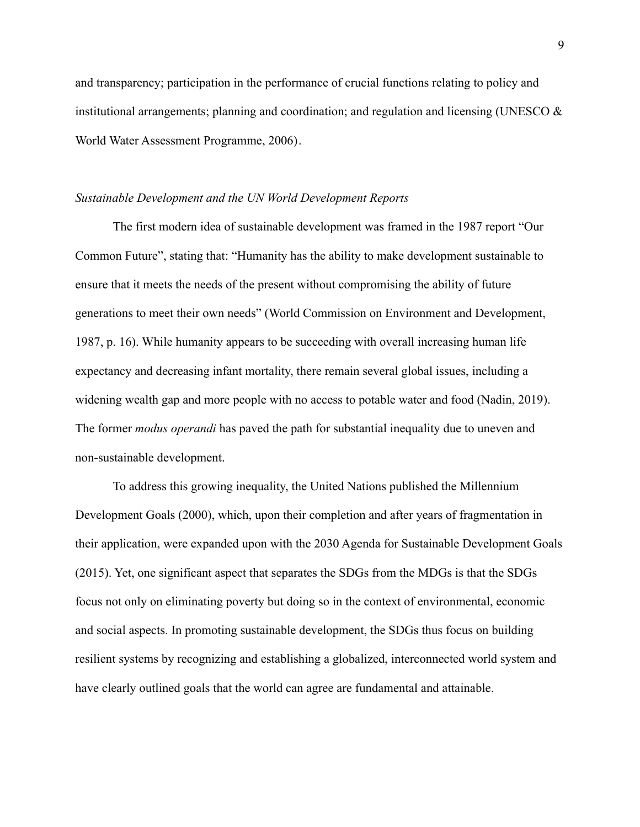and transparency; participation in the performance of crucial functions relating to policy and institutional arrangements; planning and coordination; and regulation and licensing (UNESCO  $\&$ [World Water Assessment Programme, 2006\).](https://www.zotero.org/google-docs/?m5OKQB)

#### <span id="page-8-0"></span>*Sustainable Development and the UN World Development Reports*

The first modern idea of sustainable development was framed in the 1987 report "Our Common Future", stating that: "Humanity has the ability to make development sustainable to ensure that it meets the needs of the present without compromising the ability of future generations to meet their own needs" (World Commission on Environment and Development, 1987, p. 16). While humanity appears to be succeeding with overall increasing human life expectancy and decreasing infant mortality, there remain several global issues, including a widening wealth gap and more people with no access to potable water and food (Nadin, 2019). The former *modus operandi* has paved the path for substantial inequality due to uneven and non-sustainable development.

To address this growing inequality, the United Nations published the Millennium Development Goals (2000), which, upon their completion and after years of fragmentation in their application, were expanded upon with the 2030 Agenda for Sustainable Development Goals (2015). Yet, one significant aspect that separates the SDGs from the MDGs is that the SDGs focus not only on eliminating poverty but doing so in the context of environmental, economic and social aspects. In promoting sustainable development, the SDGs thus focus on building resilient systems by recognizing and establishing a globalized, interconnected world system and have clearly outlined goals that the world can agree are fundamental and attainable.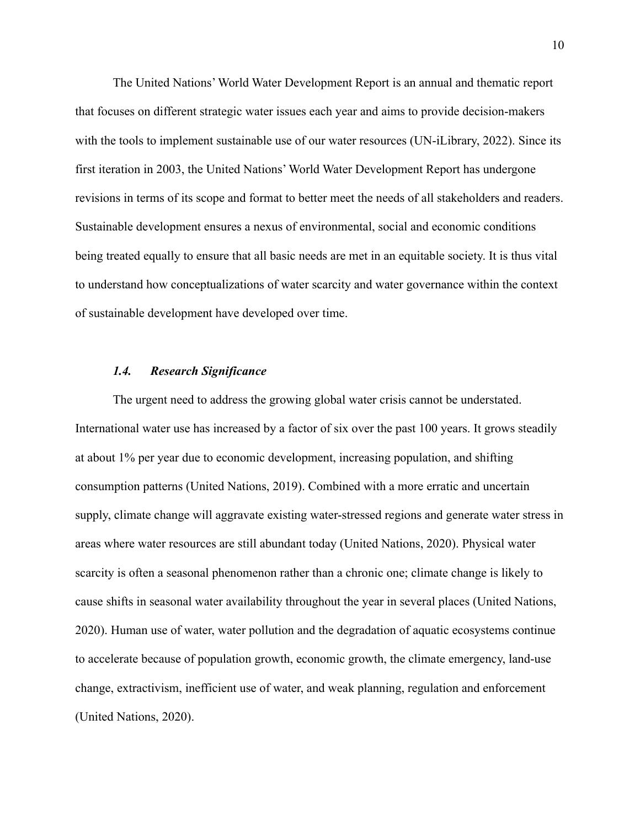The United Nations' World Water Development Report is an annual and thematic report that focuses on different strategic water issues each year and aims to provide decision-makers with the tools to implement sustainable use of our water resources (UN-iLibrary, 2022). Since its first iteration in 2003, the United Nations' World Water Development Report has undergone revisions in terms of its scope and format to better meet the needs of all stakeholders and readers. Sustainable development ensures a nexus of environmental, social and economic conditions being treated equally to ensure that all basic needs are met in an equitable society. It is thus vital to understand how conceptualizations of water scarcity and water governance within the context of sustainable development have developed over time.

#### *1.4. Research Significance*

<span id="page-9-0"></span>The urgent need to address the growing global water crisis cannot be understated. International water use has increased by a factor of six over the past 100 years. It grows steadily at about 1% per year due to economic development, increasing population, and shifting consumption patterns [\(United Nations, 2019\).](https://www.zotero.org/google-docs/?qqQtoe) Combined with a more erratic and uncertain supply, climate change will aggravate existing water-stressed regions and generate water stress in areas where water resources are still abundant today [\(United Nations, 2020\)](https://www.zotero.org/google-docs/?gGowvK). Physical water scarcity is often a seasonal phenomenon rather than a chronic one; climate change is likely to cause shifts in seasonal water availability throughout the year in several places (United Nations, 2020). Human use of water, water pollution and the degradation of aquatic ecosystems continue to accelerate because of population growth, economic growth, the climate emergency, land-use change, extractivism, inefficient use of water, and weak planning, regulation and enforcement [\(United Nations, 2020\).](https://www.zotero.org/google-docs/?DQlhcz)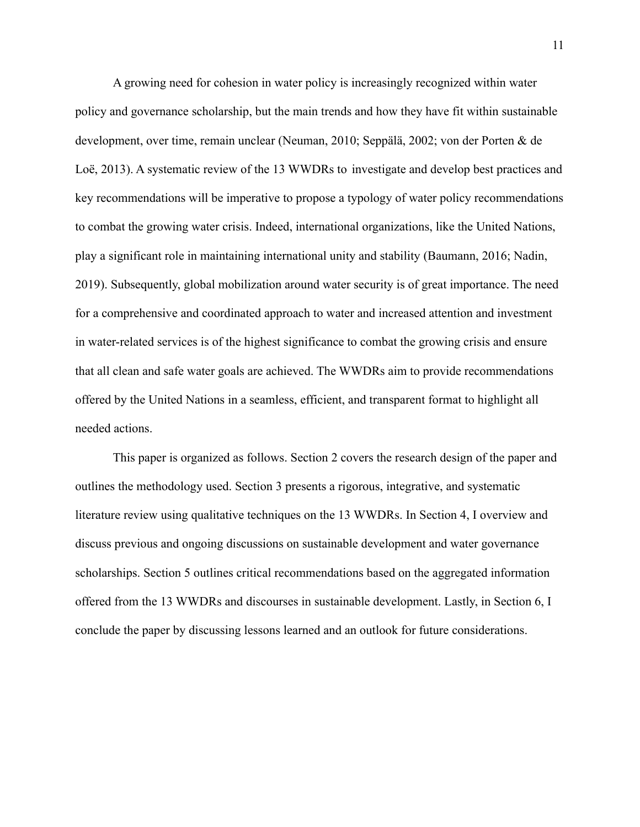A growing need for cohesion in water policy is increasingly recognized within water policy and governance scholarship, but the main trends and how they have fit within sustainable development, over time, remain unclear (Neuman, 2010; [Seppälä, 2002; von der Porten & de](https://www.zotero.org/google-docs/?yoqKvc) [Loë, 2013\).](https://www.zotero.org/google-docs/?yoqKvc) A systematic review of the 13 WWDRs to investigate and develop best practices and key recommendations will be imperative to propose a typology of water policy recommendations to combat the growing water crisis. Indeed, international organizations, like the United Nations, play a significant role in maintaining international unity and stability [\(Baumann, 2016; Nadin,](https://www.zotero.org/google-docs/?PConXI) [2019\).](https://www.zotero.org/google-docs/?PConXI) Subsequently, global mobilization around water security is of great importance. The need for a comprehensive and coordinated approach to water and increased attention and investment in water-related services is of the highest significance to combat the growing crisis and ensure that all clean and safe water goals are achieved. The WWDRs aim to provide recommendations offered by the United Nations in a seamless, efficient, and transparent format to highlight all needed actions.

This paper is organized as follows. Section 2 covers the research design of the paper and outlines the methodology used. Section 3 presents a rigorous, integrative, and systematic literature review using qualitative techniques on the 13 WWDRs. In Section 4, I overview and discuss previous and ongoing discussions on sustainable development and water governance scholarships. Section 5 outlines critical recommendations based on the aggregated information offered from the 13 WWDRs and discourses in sustainable development. Lastly, in Section 6, I conclude the paper by discussing lessons learned and an outlook for future considerations.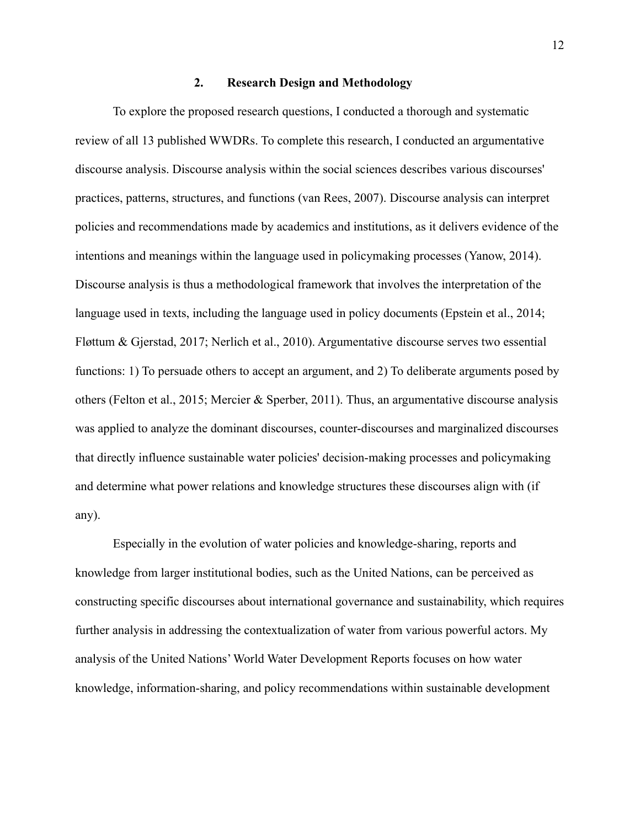# **2. Research Design and Methodology**

<span id="page-11-0"></span>To explore the proposed research questions, I conducted a thorough and systematic review of all 13 published WWDRs. To complete this research, I conducted an argumentative discourse analysis. Discourse analysis within the social sciences describes various discourses' practices, patterns, structures, and functions (van [Rees, 2007\).](https://www.zotero.org/google-docs/?fx00pe) Discourse analysis can interpret policies and recommendations made by academics and institutions, as it delivers evidence of the intentions and meanings within the language used in policymaking processes (Yanow, 2014). Discourse analysis is thus a methodological framework that involves the interpretation of the language used in texts, including the language used in policy documents [\(Epstein et al., 2014;](https://www.zotero.org/google-docs/?0QSbOs) [Fløttum & Gjerstad, 2017; Nerlich et al., 2010\).](https://www.zotero.org/google-docs/?0QSbOs) Argumentative discourse serves two essential functions: 1) To persuade others to accept an argument, and 2) To deliberate arguments posed by others [\(Felton et al., 2015; Mercier & Sperber, 2011\)](https://www.zotero.org/google-docs/?hXC2mg). Thus, an argumentative discourse analysis was applied to analyze the dominant discourses, counter-discourses and marginalized discourses that directly influence sustainable water policies' decision-making processes and policymaking and determine what power relations and knowledge structures these discourses align with (if any).

Especially in the evolution of water policies and knowledge-sharing, reports and knowledge from larger institutional bodies, such as the United Nations, can be perceived as constructing specific discourses about international governance and sustainability, which requires further analysis in addressing the contextualization of water from various powerful actors. My analysis of the United Nations' World Water Development Reports focuses on how water knowledge, information-sharing, and policy recommendations within sustainable development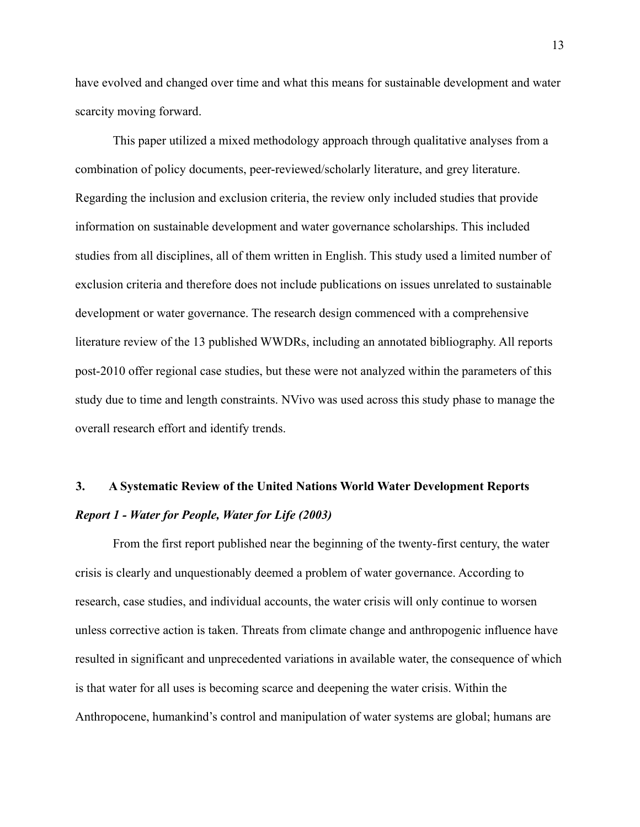have evolved and changed over time and what this means for sustainable development and water scarcity moving forward.

This paper utilized a mixed methodology approach through qualitative analyses from a combination of policy documents, peer-reviewed/scholarly literature, and grey literature. Regarding the inclusion and exclusion criteria, the review only included studies that provide information on sustainable development and water governance scholarships. This included studies from all disciplines, all of them written in English. This study used a limited number of exclusion criteria and therefore does not include publications on issues unrelated to sustainable development or water governance. The research design commenced with a comprehensive literature review of the 13 published WWDRs, including an annotated bibliography. All reports post-2010 offer regional case studies, but these were not analyzed within the parameters of this study due to time and length constraints. NVivo was used across this study phase to manage the overall research effort and identify trends.

# <span id="page-12-1"></span><span id="page-12-0"></span>**3. A Systematic Review of the United Nations World Water Development Reports** *Report 1 - Water for People, Water for Life (2003)*

From the first report published near the beginning of the twenty-first century, the water crisis is clearly and unquestionably deemed a problem of water governance. According to research, case studies, and individual accounts, the water crisis will only continue to worsen unless corrective action is taken. Threats from climate change and anthropogenic influence have resulted in significant and unprecedented variations in available water, the consequence of which is that water for all uses is becoming scarce and deepening the water crisis. Within the Anthropocene, humankind's control and manipulation of water systems are global; humans are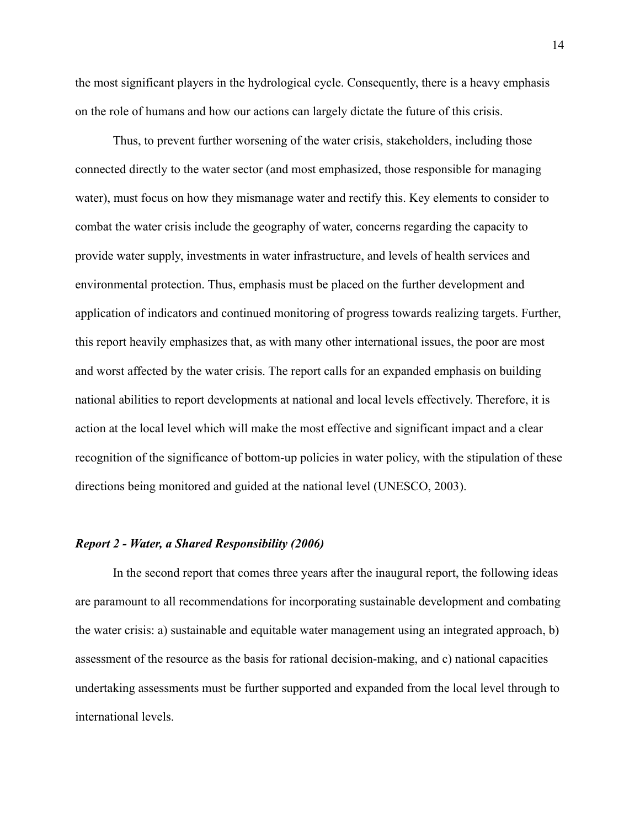the most significant players in the hydrological cycle. Consequently, there is a heavy emphasis on the role of humans and how our actions can largely dictate the future of this crisis.

Thus, to prevent further worsening of the water crisis, stakeholders, including those connected directly to the water sector (and most emphasized, those responsible for managing water), must focus on how they mismanage water and rectify this. Key elements to consider to combat the water crisis include the geography of water, concerns regarding the capacity to provide water supply, investments in water infrastructure, and levels of health services and environmental protection. Thus, emphasis must be placed on the further development and application of indicators and continued monitoring of progress towards realizing targets. Further, this report heavily emphasizes that, as with many other international issues, the poor are most and worst affected by the water crisis. The report calls for an expanded emphasis on building national abilities to report developments at national and local levels effectively. Therefore, it is action at the local level which will make the most effective and significant impact and a clear recognition of the significance of bottom-up policies in water policy, with the stipulation of these directions being monitored and guided at the national level [\(UNESCO, 2003\).](https://www.zotero.org/google-docs/?ss8ViP)

### <span id="page-13-0"></span>*Report 2 - Water, a Shared Responsibility (2006)*

In the second report that comes three years after the inaugural report, the following ideas are paramount to all recommendations for incorporating sustainable development and combating the water crisis: a) sustainable and equitable water management using an integrated approach, b) assessment of the resource as the basis for rational decision-making, and c) national capacities undertaking assessments must be further supported and expanded from the local level through to international levels.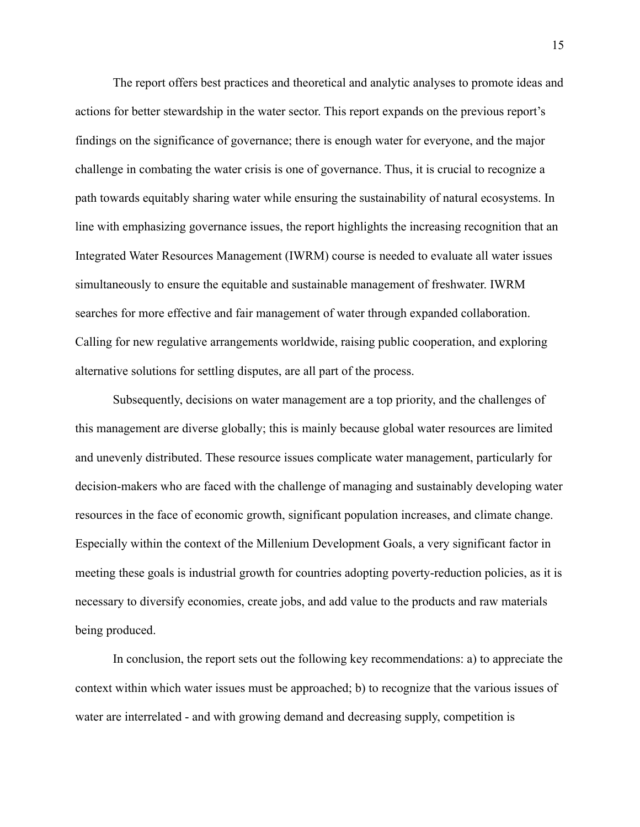The report offers best practices and theoretical and analytic analyses to promote ideas and actions for better stewardship in the water sector. This report expands on the previous report's findings on the significance of governance; there is enough water for everyone, and the major challenge in combating the water crisis is one of governance. Thus, it is crucial to recognize a path towards equitably sharing water while ensuring the sustainability of natural ecosystems. In line with emphasizing governance issues, the report highlights the increasing recognition that an Integrated Water Resources Management (IWRM) course is needed to evaluate all water issues simultaneously to ensure the equitable and sustainable management of freshwater. IWRM searches for more effective and fair management of water through expanded collaboration. Calling for new regulative arrangements worldwide, raising public cooperation, and exploring alternative solutions for settling disputes, are all part of the process.

Subsequently, decisions on water management are a top priority, and the challenges of this management are diverse globally; this is mainly because global water resources are limited and unevenly distributed. These resource issues complicate water management, particularly for decision-makers who are faced with the challenge of managing and sustainably developing water resources in the face of economic growth, significant population increases, and climate change. Especially within the context of the Millenium Development Goals, a very significant factor in meeting these goals is industrial growth for countries adopting poverty-reduction policies, as it is necessary to diversify economies, create jobs, and add value to the products and raw materials being produced.

In conclusion, the report sets out the following key recommendations: a) to appreciate the context within which water issues must be approached; b) to recognize that the various issues of water are interrelated - and with growing demand and decreasing supply, competition is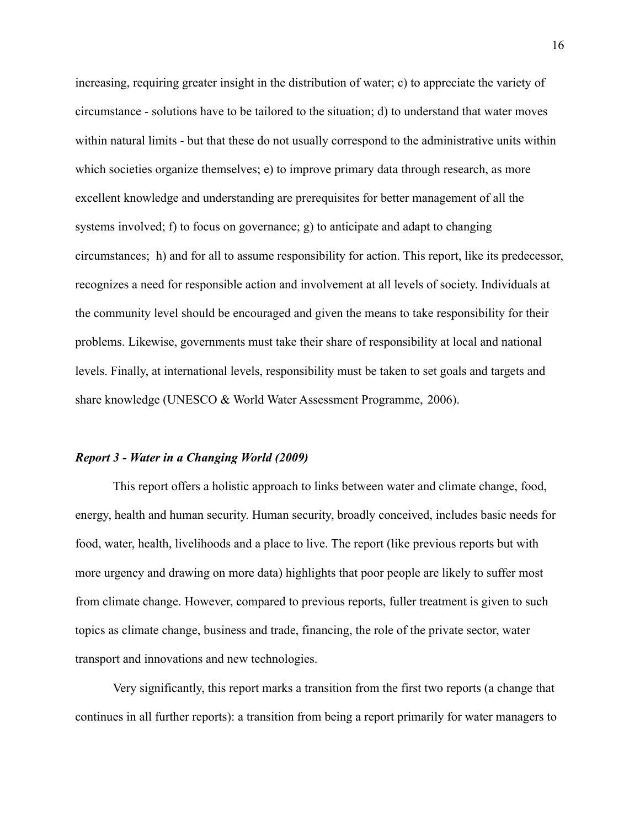increasing, requiring greater insight in the distribution of water; c) to appreciate the variety of circumstance - solutions have to be tailored to the situation; d) to understand that water moves within natural limits - but that these do not usually correspond to the administrative units within which societies organize themselves; e) to improve primary data through research, as more excellent knowledge and understanding are prerequisites for better management of all the systems involved; f) to focus on governance; g) to anticipate and adapt to changing circumstances; h) and for all to assume responsibility for action. This report, like its predecessor, recognizes a need for responsible action and involvement at all levels of society. Individuals at the community level should be encouraged and given the means to take responsibility for their problems. Likewise, governments must take their share of responsibility at local and national levels. Finally, at international levels, responsibility must be taken to set goals and targets and share knowledge [\(UNESCO & World Water Assessment Programme,](https://www.zotero.org/google-docs/?9Hoajp) 2006).

#### <span id="page-15-0"></span>*Report 3 - Water in a Changing World (2009)*

This report offers a holistic approach to links between water and climate change, food, energy, health and human security. Human security, broadly conceived, includes basic needs for food, water, health, livelihoods and a place to live. The report (like previous reports but with more urgency and drawing on more data) highlights that poor people are likely to suffer most from climate change. However, compared to previous reports, fuller treatment is given to such topics as climate change, business and trade, financing, the role of the private sector, water transport and innovations and new technologies.

Very significantly, this report marks a transition from the first two reports (a change that continues in all further reports): a transition from being a report primarily for water managers to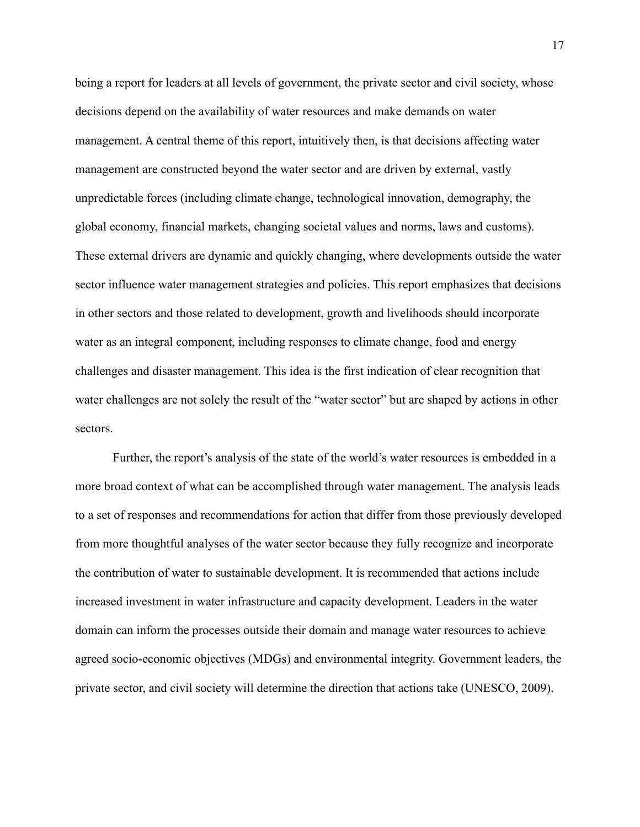being a report for leaders at all levels of government, the private sector and civil society, whose decisions depend on the availability of water resources and make demands on water management. A central theme of this report, intuitively then, is that decisions affecting water management are constructed beyond the water sector and are driven by external, vastly unpredictable forces (including climate change, technological innovation, demography, the global economy, financial markets, changing societal values and norms, laws and customs). These external drivers are dynamic and quickly changing, where developments outside the water sector influence water management strategies and policies. This report emphasizes that decisions in other sectors and those related to development, growth and livelihoods should incorporate water as an integral component, including responses to climate change, food and energy challenges and disaster management. This idea is the first indication of clear recognition that water challenges are not solely the result of the "water sector" but are shaped by actions in other sectors.

Further, the report's analysis of the state of the world's water resources is embedded in a more broad context of what can be accomplished through water management. The analysis leads to a set of responses and recommendations for action that differ from those previously developed from more thoughtful analyses of the water sector because they fully recognize and incorporate the contribution of water to sustainable development. It is recommended that actions include increased investment in water infrastructure and capacity development. Leaders in the water domain can inform the processes outside their domain and manage water resources to achieve agreed socio-economic objectives (MDGs) and environmental integrity. Government leaders, the private sector, and civil society will determine the direction that actions take [\(UNESCO, 2009\)](https://www.zotero.org/google-docs/?1PChm3).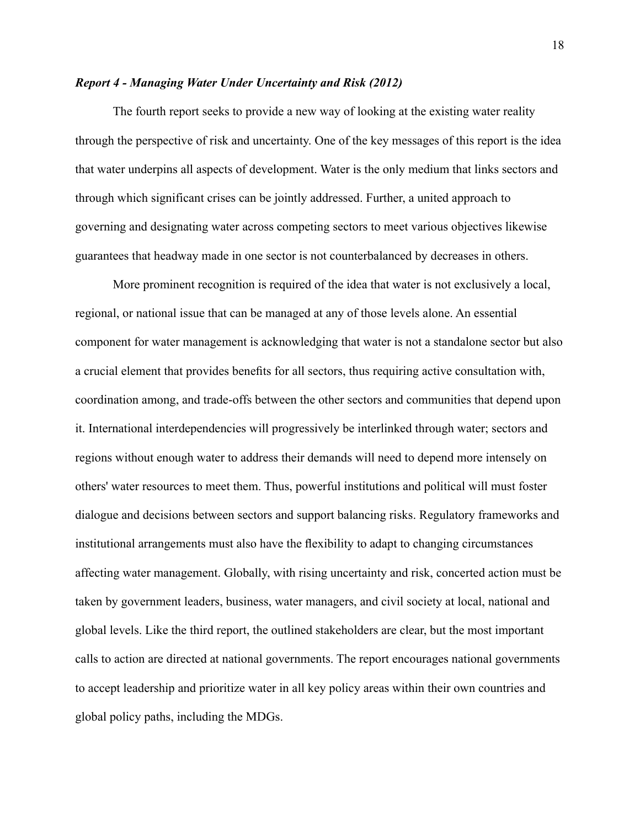### <span id="page-17-0"></span>*Report 4 - Managing Water Under Uncertainty and Risk (2012)*

The fourth report seeks to provide a new way of looking at the existing water reality through the perspective of risk and uncertainty. One of the key messages of this report is the idea that water underpins all aspects of development. Water is the only medium that links sectors and through which significant crises can be jointly addressed. Further, a united approach to governing and designating water across competing sectors to meet various objectives likewise guarantees that headway made in one sector is not counterbalanced by decreases in others.

More prominent recognition is required of the idea that water is not exclusively a local, regional, or national issue that can be managed at any of those levels alone. An essential component for water management is acknowledging that water is not a standalone sector but also a crucial element that provides benefits for all sectors, thus requiring active consultation with, coordination among, and trade-offs between the other sectors and communities that depend upon it. International interdependencies will progressively be interlinked through water; sectors and regions without enough water to address their demands will need to depend more intensely on others' water resources to meet them. Thus, powerful institutions and political will must foster dialogue and decisions between sectors and support balancing risks. Regulatory frameworks and institutional arrangements must also have the flexibility to adapt to changing circumstances affecting water management. Globally, with rising uncertainty and risk, concerted action must be taken by government leaders, business, water managers, and civil society at local, national and global levels. Like the third report, the outlined stakeholders are clear, but the most important calls to action are directed at national governments. The report encourages national governments to accept leadership and prioritize water in all key policy areas within their own countries and global policy paths, including the MDGs.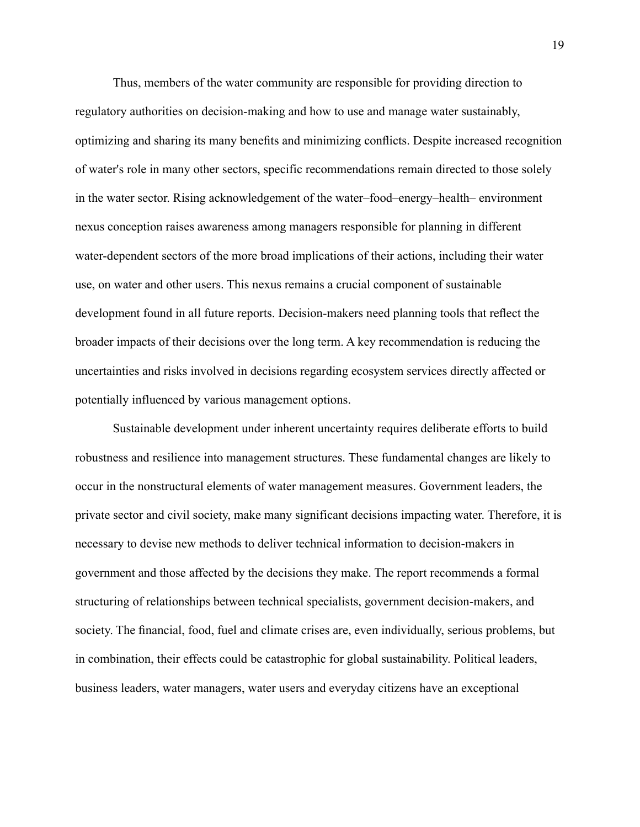Thus, members of the water community are responsible for providing direction to regulatory authorities on decision-making and how to use and manage water sustainably, optimizing and sharing its many benefits and minimizing conflicts. Despite increased recognition of water's role in many other sectors, specific recommendations remain directed to those solely in the water sector. Rising acknowledgement of the water–food–energy–health– environment nexus conception raises awareness among managers responsible for planning in different water-dependent sectors of the more broad implications of their actions, including their water use, on water and other users. This nexus remains a crucial component of sustainable development found in all future reports. Decision-makers need planning tools that reflect the broader impacts of their decisions over the long term. A key recommendation is reducing the uncertainties and risks involved in decisions regarding ecosystem services directly affected or potentially influenced by various management options.

Sustainable development under inherent uncertainty requires deliberate efforts to build robustness and resilience into management structures. These fundamental changes are likely to occur in the nonstructural elements of water management measures. Government leaders, the private sector and civil society, make many significant decisions impacting water. Therefore, it is necessary to devise new methods to deliver technical information to decision-makers in government and those affected by the decisions they make. The report recommends a formal structuring of relationships between technical specialists, government decision-makers, and society. The financial, food, fuel and climate crises are, even individually, serious problems, but in combination, their effects could be catastrophic for global sustainability. Political leaders, business leaders, water managers, water users and everyday citizens have an exceptional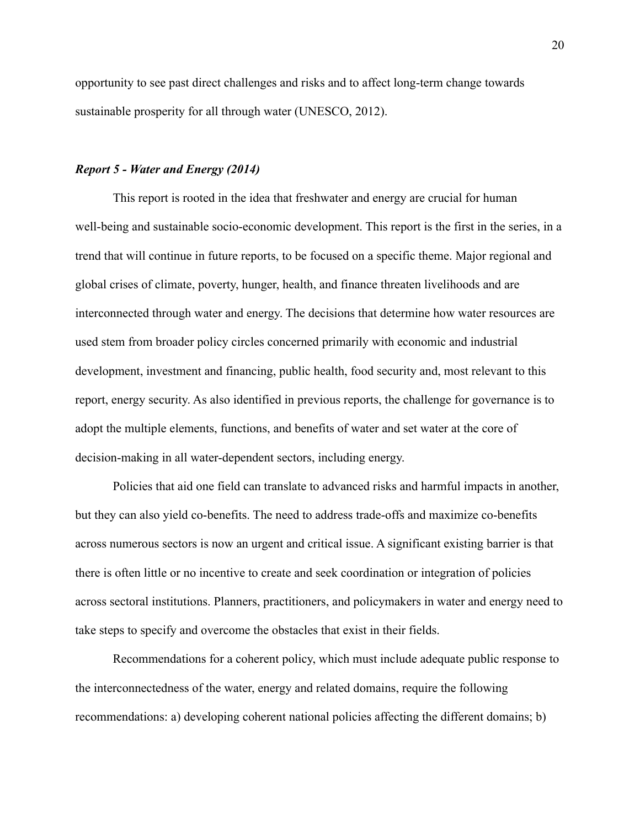opportunity to see past direct challenges and risks and to affect long-term change towards sustainable prosperity for all through water [\(UNESCO,](https://www.zotero.org/google-docs/?7mwMbO) 2012).

### <span id="page-19-0"></span>*Report 5 - Water and Energy (2014)*

This report is rooted in the idea that freshwater and energy are crucial for human well-being and sustainable socio-economic development. This report is the first in the series, in a trend that will continue in future reports, to be focused on a specific theme. Major regional and global crises of climate, poverty, hunger, health, and finance threaten livelihoods and are interconnected through water and energy. The decisions that determine how water resources are used stem from broader policy circles concerned primarily with economic and industrial development, investment and financing, public health, food security and, most relevant to this report, energy security. As also identified in previous reports, the challenge for governance is to adopt the multiple elements, functions, and benefits of water and set water at the core of decision-making in all water-dependent sectors, including energy.

Policies that aid one field can translate to advanced risks and harmful impacts in another, but they can also yield co-benefits. The need to address trade-offs and maximize co-benefits across numerous sectors is now an urgent and critical issue. A significant existing barrier is that there is often little or no incentive to create and seek coordination or integration of policies across sectoral institutions. Planners, practitioners, and policymakers in water and energy need to take steps to specify and overcome the obstacles that exist in their fields.

Recommendations for a coherent policy, which must include adequate public response to the interconnectedness of the water, energy and related domains, require the following recommendations: a) developing coherent national policies affecting the different domains; b)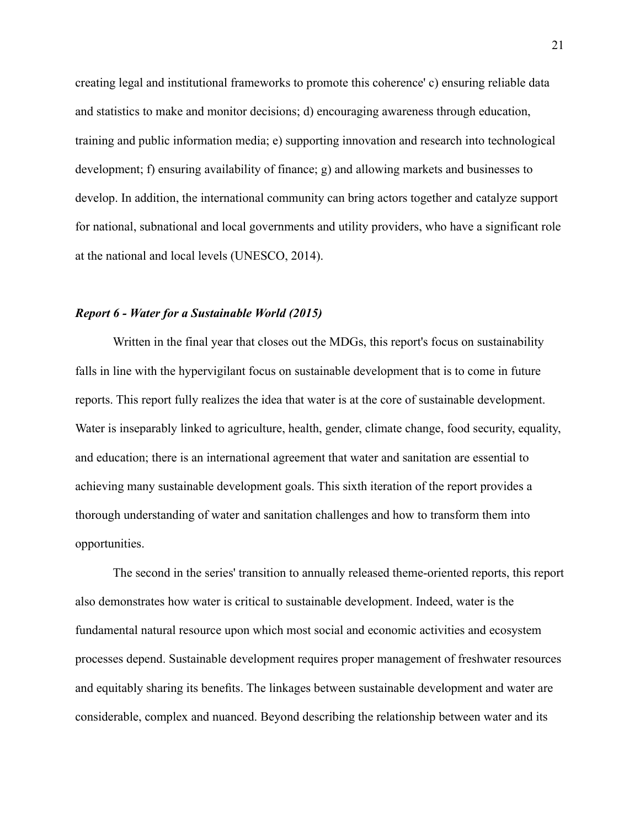creating legal and institutional frameworks to promote this coherence' c) ensuring reliable data and statistics to make and monitor decisions; d) encouraging awareness through education, training and public information media; e) supporting innovation and research into technological development; f) ensuring availability of finance; g) and allowing markets and businesses to develop. In addition, the international community can bring actors together and catalyze support for national, subnational and local governments and utility providers, who have a significant role at the national and local levels [\(UNESCO, 2014\).](https://www.zotero.org/google-docs/?Rdcoys)

### <span id="page-20-0"></span>*Report 6 - Water for a Sustainable World (2015)*

Written in the final year that closes out the MDGs, this report's focus on sustainability falls in line with the hypervigilant focus on sustainable development that is to come in future reports. This report fully realizes the idea that water is at the core of sustainable development. Water is inseparably linked to agriculture, health, gender, climate change, food security, equality, and education; there is an international agreement that water and sanitation are essential to achieving many sustainable development goals. This sixth iteration of the report provides a thorough understanding of water and sanitation challenges and how to transform them into opportunities.

The second in the series' transition to annually released theme-oriented reports, this report also demonstrates how water is critical to sustainable development. Indeed, water is the fundamental natural resource upon which most social and economic activities and ecosystem processes depend. Sustainable development requires proper management of freshwater resources and equitably sharing its benefits. The linkages between sustainable development and water are considerable, complex and nuanced. Beyond describing the relationship between water and its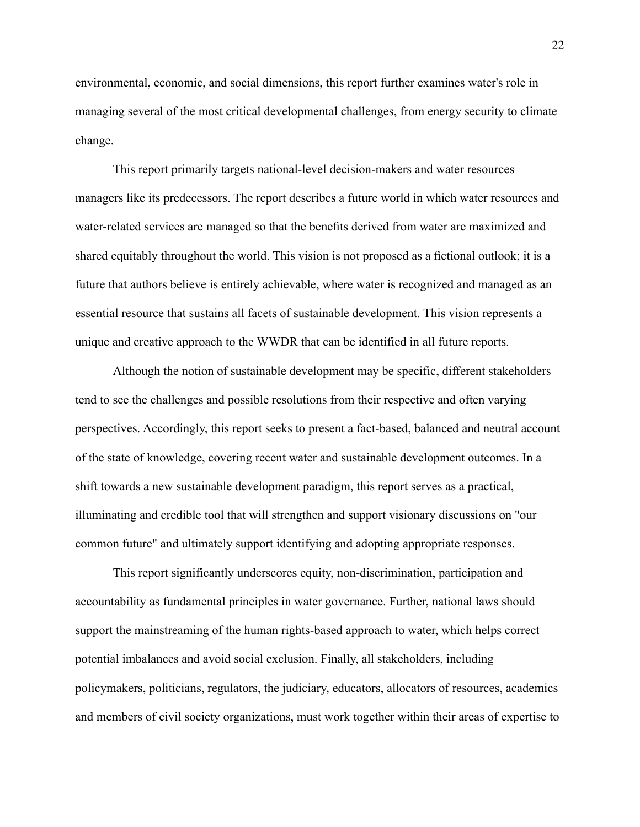environmental, economic, and social dimensions, this report further examines water's role in managing several of the most critical developmental challenges, from energy security to climate change.

This report primarily targets national-level decision-makers and water resources managers like its predecessors. The report describes a future world in which water resources and water-related services are managed so that the benefits derived from water are maximized and shared equitably throughout the world. This vision is not proposed as a fictional outlook; it is a future that authors believe is entirely achievable, where water is recognized and managed as an essential resource that sustains all facets of sustainable development. This vision represents a unique and creative approach to the WWDR that can be identified in all future reports.

Although the notion of sustainable development may be specific, different stakeholders tend to see the challenges and possible resolutions from their respective and often varying perspectives. Accordingly, this report seeks to present a fact-based, balanced and neutral account of the state of knowledge, covering recent water and sustainable development outcomes. In a shift towards a new sustainable development paradigm, this report serves as a practical, illuminating and credible tool that will strengthen and support visionary discussions on "our common future" and ultimately support identifying and adopting appropriate responses.

This report significantly underscores equity, non-discrimination, participation and accountability as fundamental principles in water governance. Further, national laws should support the mainstreaming of the human rights-based approach to water, which helps correct potential imbalances and avoid social exclusion. Finally, all stakeholders, including policymakers, politicians, regulators, the judiciary, educators, allocators of resources, academics and members of civil society organizations, must work together within their areas of expertise to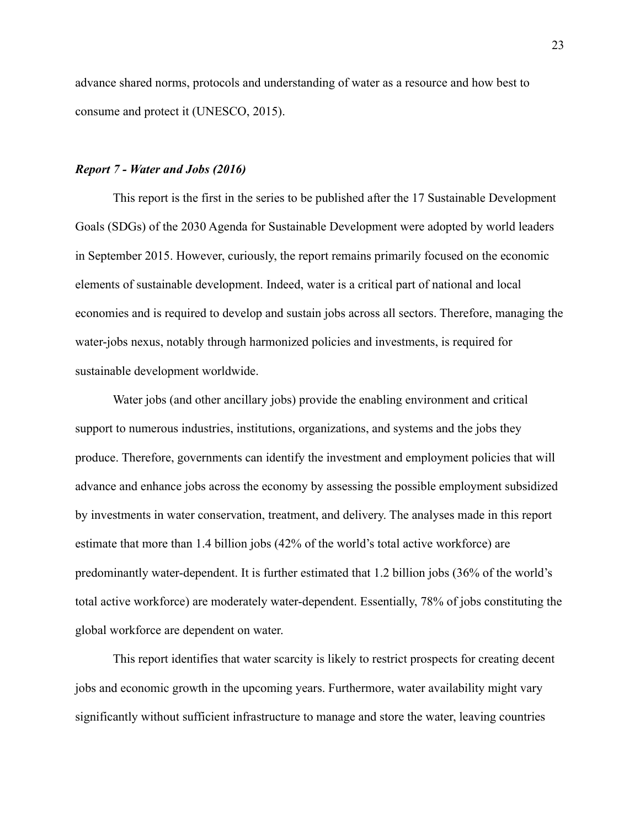advance shared norms, protocols and understanding of water as a resource and how best to consume and protect it [\(UNESCO, 2015\).](https://www.zotero.org/google-docs/?He5zEH)

#### <span id="page-22-0"></span>*Report 7 - Water and Jobs (2016)*

This report is the first in the series to be published after the 17 Sustainable Development Goals (SDGs) of the 2030 Agenda for Sustainable Development were adopted by world leaders in September 2015. However, curiously, the report remains primarily focused on the economic elements of sustainable development. Indeed, water is a critical part of national and local economies and is required to develop and sustain jobs across all sectors. Therefore, managing the water-jobs nexus, notably through harmonized policies and investments, is required for sustainable development worldwide.

Water jobs (and other ancillary jobs) provide the enabling environment and critical support to numerous industries, institutions, organizations, and systems and the jobs they produce. Therefore, governments can identify the investment and employment policies that will advance and enhance jobs across the economy by assessing the possible employment subsidized by investments in water conservation, treatment, and delivery. The analyses made in this report estimate that more than 1.4 billion jobs (42% of the world's total active workforce) are predominantly water-dependent. It is further estimated that 1.2 billion jobs (36% of the world's total active workforce) are moderately water-dependent. Essentially, 78% of jobs constituting the global workforce are dependent on water.

This report identifies that water scarcity is likely to restrict prospects for creating decent jobs and economic growth in the upcoming years. Furthermore, water availability might vary significantly without sufficient infrastructure to manage and store the water, leaving countries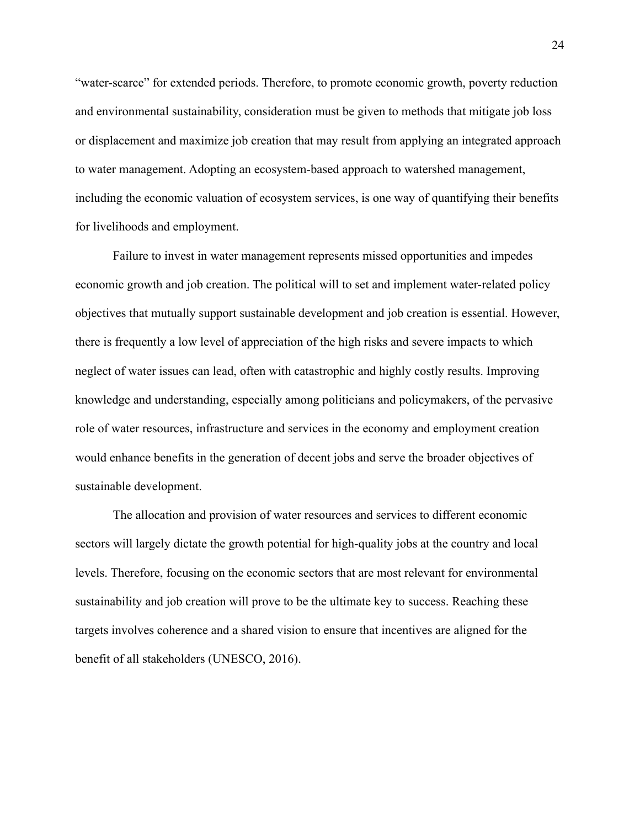"water-scarce" for extended periods. Therefore, to promote economic growth, poverty reduction and environmental sustainability, consideration must be given to methods that mitigate job loss or displacement and maximize job creation that may result from applying an integrated approach to water management. Adopting an ecosystem-based approach to watershed management, including the economic valuation of ecosystem services, is one way of quantifying their benefits for livelihoods and employment.

Failure to invest in water management represents missed opportunities and impedes economic growth and job creation. The political will to set and implement water-related policy objectives that mutually support sustainable development and job creation is essential. However, there is frequently a low level of appreciation of the high risks and severe impacts to which neglect of water issues can lead, often with catastrophic and highly costly results. Improving knowledge and understanding, especially among politicians and policymakers, of the pervasive role of water resources, infrastructure and services in the economy and employment creation would enhance benefits in the generation of decent jobs and serve the broader objectives of sustainable development.

The allocation and provision of water resources and services to different economic sectors will largely dictate the growth potential for high-quality jobs at the country and local levels. Therefore, focusing on the economic sectors that are most relevant for environmental sustainability and job creation will prove to be the ultimate key to success. Reaching these targets involves coherence and a shared vision to ensure that incentives are aligned for the benefit of all stakeholders [\(UNESCO, 2016\)](https://www.zotero.org/google-docs/?hOIjOl).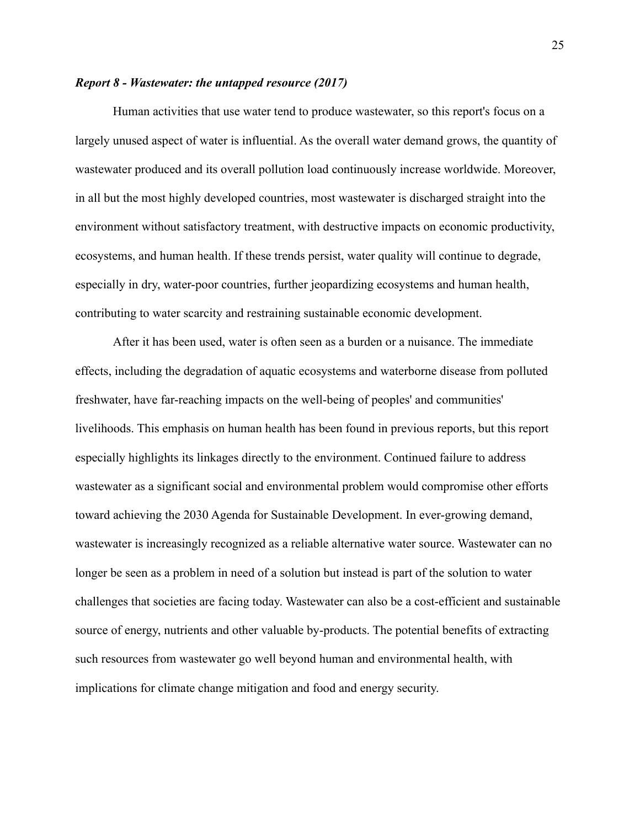#### <span id="page-24-0"></span>*Report 8 - Wastewater: the untapped resource (2017)*

Human activities that use water tend to produce wastewater, so this report's focus on a largely unused aspect of water is influential. As the overall water demand grows, the quantity of wastewater produced and its overall pollution load continuously increase worldwide. Moreover, in all but the most highly developed countries, most wastewater is discharged straight into the environment without satisfactory treatment, with destructive impacts on economic productivity, ecosystems, and human health. If these trends persist, water quality will continue to degrade, especially in dry, water-poor countries, further jeopardizing ecosystems and human health, contributing to water scarcity and restraining sustainable economic development.

After it has been used, water is often seen as a burden or a nuisance. The immediate effects, including the degradation of aquatic ecosystems and waterborne disease from polluted freshwater, have far-reaching impacts on the well-being of peoples' and communities' livelihoods. This emphasis on human health has been found in previous reports, but this report especially highlights its linkages directly to the environment. Continued failure to address wastewater as a significant social and environmental problem would compromise other efforts toward achieving the 2030 Agenda for Sustainable Development. In ever-growing demand, wastewater is increasingly recognized as a reliable alternative water source. Wastewater can no longer be seen as a problem in need of a solution but instead is part of the solution to water challenges that societies are facing today. Wastewater can also be a cost-efficient and sustainable source of energy, nutrients and other valuable by-products. The potential benefits of extracting such resources from wastewater go well beyond human and environmental health, with implications for climate change mitigation and food and energy security.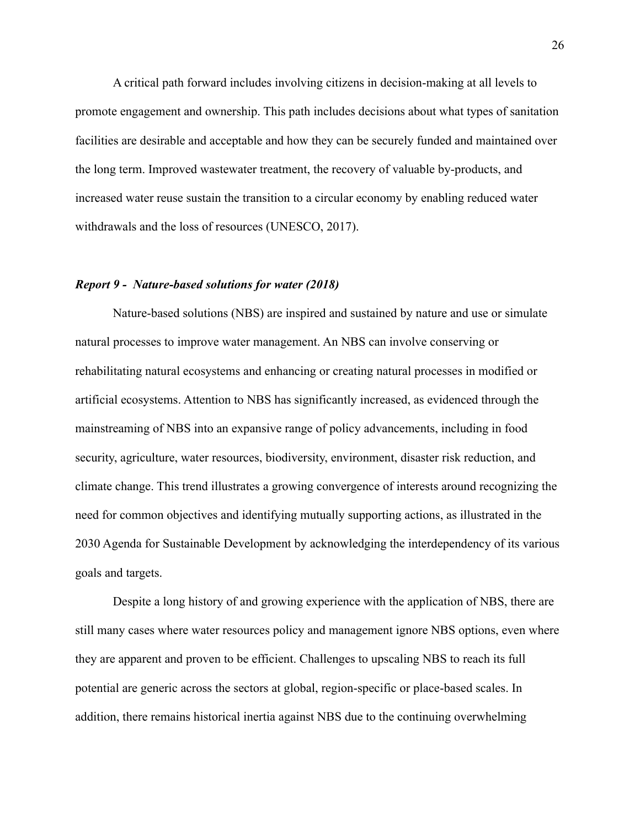A critical path forward includes involving citizens in decision-making at all levels to promote engagement and ownership. This path includes decisions about what types of sanitation facilities are desirable and acceptable and how they can be securely funded and maintained over the long term. Improved wastewater treatment, the recovery of valuable by-products, and increased water reuse sustain the transition to a circular economy by enabling reduced water withdrawals and the loss of resources [\(UNESCO, 2017\).](https://www.zotero.org/google-docs/?erTpUi)

#### <span id="page-25-0"></span>*Report 9 - Nature-based solutions for water (2018)*

Nature-based solutions (NBS) are inspired and sustained by nature and use or simulate natural processes to improve water management. An NBS can involve conserving or rehabilitating natural ecosystems and enhancing or creating natural processes in modified or artificial ecosystems. Attention to NBS has significantly increased, as evidenced through the mainstreaming of NBS into an expansive range of policy advancements, including in food security, agriculture, water resources, biodiversity, environment, disaster risk reduction, and climate change. This trend illustrates a growing convergence of interests around recognizing the need for common objectives and identifying mutually supporting actions, as illustrated in the 2030 Agenda for Sustainable Development by acknowledging the interdependency of its various goals and targets.

Despite a long history of and growing experience with the application of NBS, there are still many cases where water resources policy and management ignore NBS options, even where they are apparent and proven to be efficient. Challenges to upscaling NBS to reach its full potential are generic across the sectors at global, region-specific or place-based scales. In addition, there remains historical inertia against NBS due to the continuing overwhelming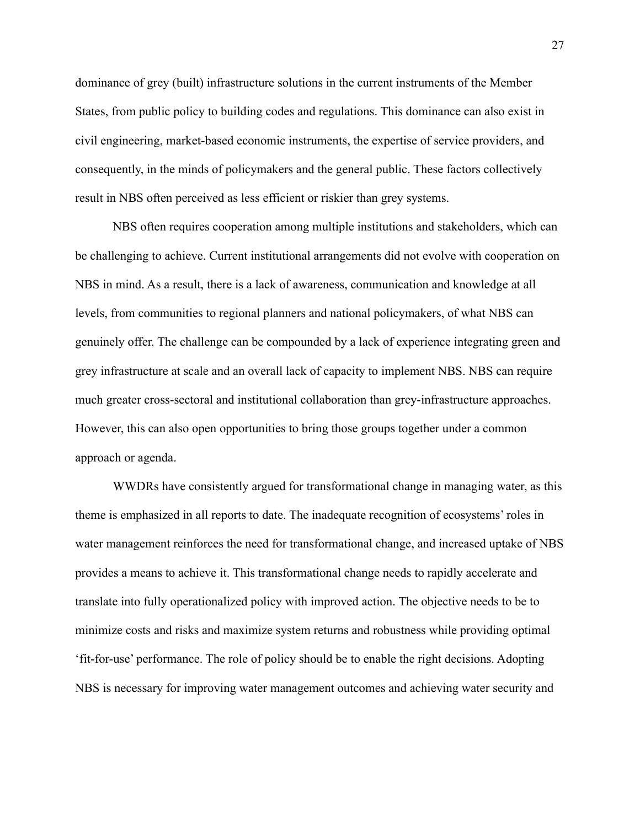dominance of grey (built) infrastructure solutions in the current instruments of the Member States, from public policy to building codes and regulations. This dominance can also exist in civil engineering, market-based economic instruments, the expertise of service providers, and consequently, in the minds of policymakers and the general public. These factors collectively result in NBS often perceived as less efficient or riskier than grey systems.

NBS often requires cooperation among multiple institutions and stakeholders, which can be challenging to achieve. Current institutional arrangements did not evolve with cooperation on NBS in mind. As a result, there is a lack of awareness, communication and knowledge at all levels, from communities to regional planners and national policymakers, of what NBS can genuinely offer. The challenge can be compounded by a lack of experience integrating green and grey infrastructure at scale and an overall lack of capacity to implement NBS. NBS can require much greater cross-sectoral and institutional collaboration than grey-infrastructure approaches. However, this can also open opportunities to bring those groups together under a common approach or agenda.

WWDRs have consistently argued for transformational change in managing water, as this theme is emphasized in all reports to date. The inadequate recognition of ecosystems' roles in water management reinforces the need for transformational change, and increased uptake of NBS provides a means to achieve it. This transformational change needs to rapidly accelerate and translate into fully operationalized policy with improved action. The objective needs to be to minimize costs and risks and maximize system returns and robustness while providing optimal 'fit-for-use' performance. The role of policy should be to enable the right decisions. Adopting NBS is necessary for improving water management outcomes and achieving water security and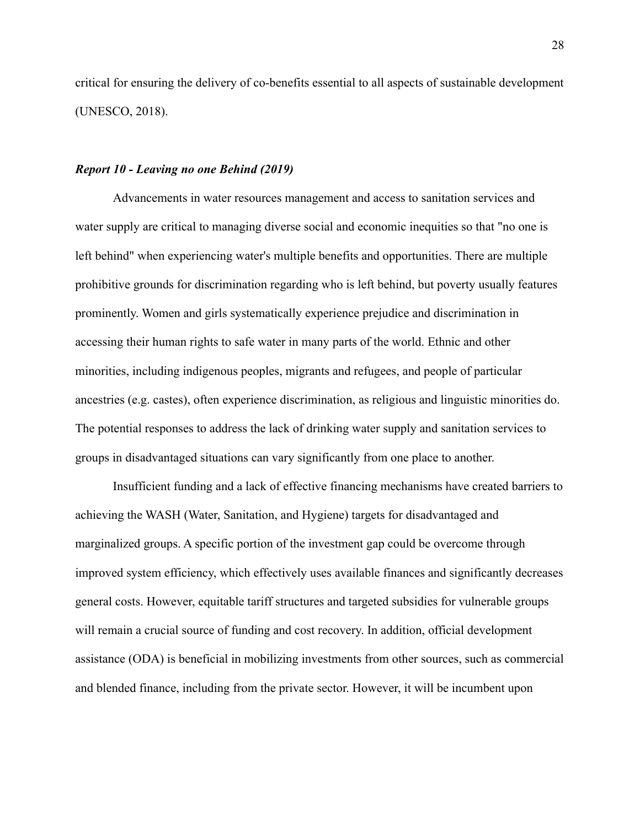critical for ensuring the delivery of co-benefits essential to all aspects of sustainable development [\(UNESCO, 2018\).](https://www.zotero.org/google-docs/?65Il6y)

#### <span id="page-27-0"></span>*Report 10 - Leaving no one Behind (2019)*

Advancements in water resources management and access to sanitation services and water supply are critical to managing diverse social and economic inequities so that "no one is left behind" when experiencing water's multiple benefits and opportunities. There are multiple prohibitive grounds for discrimination regarding who is left behind, but poverty usually features prominently. Women and girls systematically experience prejudice and discrimination in accessing their human rights to safe water in many parts of the world. Ethnic and other minorities, including indigenous peoples, migrants and refugees, and people of particular ancestries (e.g. castes), often experience discrimination, as religious and linguistic minorities do. The potential responses to address the lack of drinking water supply and sanitation services to groups in disadvantaged situations can vary significantly from one place to another.

Insufficient funding and a lack of effective financing mechanisms have created barriers to achieving the WASH (Water, Sanitation, and Hygiene) targets for disadvantaged and marginalized groups. A specific portion of the investment gap could be overcome through improved system efficiency, which effectively uses available finances and significantly decreases general costs. However, equitable tariff structures and targeted subsidies for vulnerable groups will remain a crucial source of funding and cost recovery. In addition, official development assistance (ODA) is beneficial in mobilizing investments from other sources, such as commercial and blended finance, including from the private sector. However, it will be incumbent upon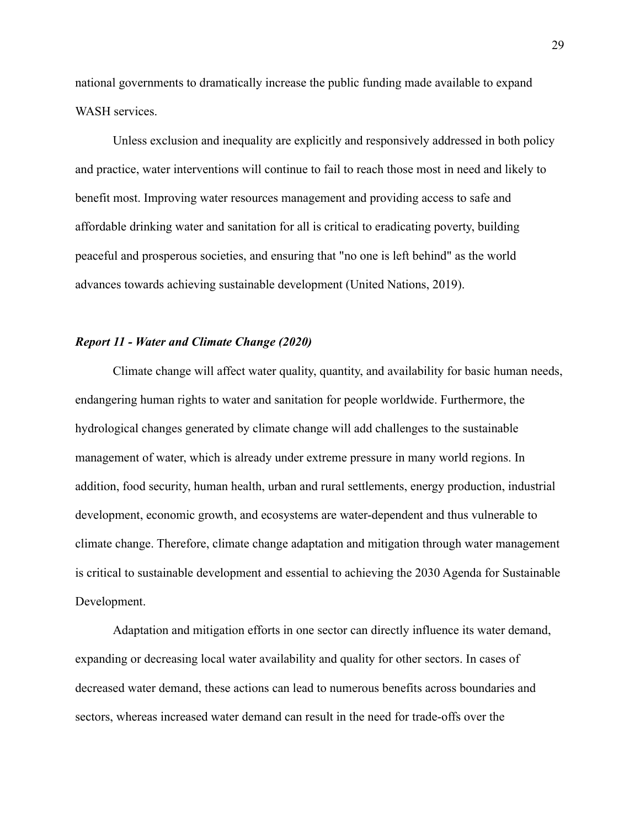national governments to dramatically increase the public funding made available to expand WASH services.

Unless exclusion and inequality are explicitly and responsively addressed in both policy and practice, water interventions will continue to fail to reach those most in need and likely to benefit most. Improving water resources management and providing access to safe and affordable drinking water and sanitation for all is critical to eradicating poverty, building peaceful and prosperous societies, and ensuring that "no one is left behind" as the world advances towards achieving sustainable development [\(United Nations, 2019\).](https://www.zotero.org/google-docs/?92z19W)

# <span id="page-28-0"></span>*Report 11 - Water and Climate Change (2020)*

Climate change will affect water quality, quantity, and availability for basic human needs, endangering human rights to water and sanitation for people worldwide. Furthermore, the hydrological changes generated by climate change will add challenges to the sustainable management of water, which is already under extreme pressure in many world regions. In addition, food security, human health, urban and rural settlements, energy production, industrial development, economic growth, and ecosystems are water-dependent and thus vulnerable to climate change. Therefore, climate change adaptation and mitigation through water management is critical to sustainable development and essential to achieving the 2030 Agenda for Sustainable Development.

Adaptation and mitigation efforts in one sector can directly influence its water demand, expanding or decreasing local water availability and quality for other sectors. In cases of decreased water demand, these actions can lead to numerous benefits across boundaries and sectors, whereas increased water demand can result in the need for trade-offs over the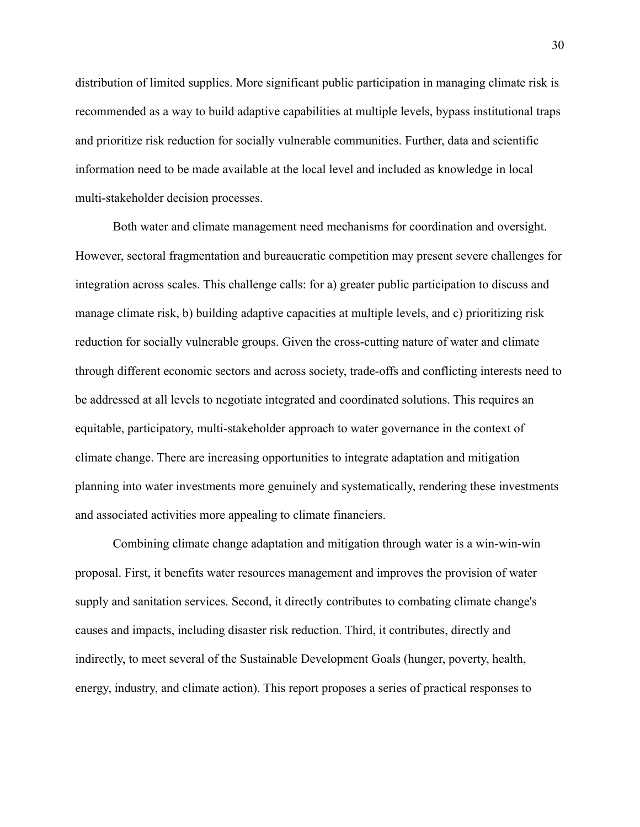distribution of limited supplies. More significant public participation in managing climate risk is recommended as a way to build adaptive capabilities at multiple levels, bypass institutional traps and prioritize risk reduction for socially vulnerable communities. Further, data and scientific information need to be made available at the local level and included as knowledge in local multi-stakeholder decision processes.

Both water and climate management need mechanisms for coordination and oversight. However, sectoral fragmentation and bureaucratic competition may present severe challenges for integration across scales. This challenge calls: for a) greater public participation to discuss and manage climate risk, b) building adaptive capacities at multiple levels, and c) prioritizing risk reduction for socially vulnerable groups. Given the cross-cutting nature of water and climate through different economic sectors and across society, trade-offs and conflicting interests need to be addressed at all levels to negotiate integrated and coordinated solutions. This requires an equitable, participatory, multi-stakeholder approach to water governance in the context of climate change. There are increasing opportunities to integrate adaptation and mitigation planning into water investments more genuinely and systematically, rendering these investments and associated activities more appealing to climate financiers.

Combining climate change adaptation and mitigation through water is a win-win-win proposal. First, it benefits water resources management and improves the provision of water supply and sanitation services. Second, it directly contributes to combating climate change's causes and impacts, including disaster risk reduction. Third, it contributes, directly and indirectly, to meet several of the Sustainable Development Goals (hunger, poverty, health, energy, industry, and climate action). This report proposes a series of practical responses to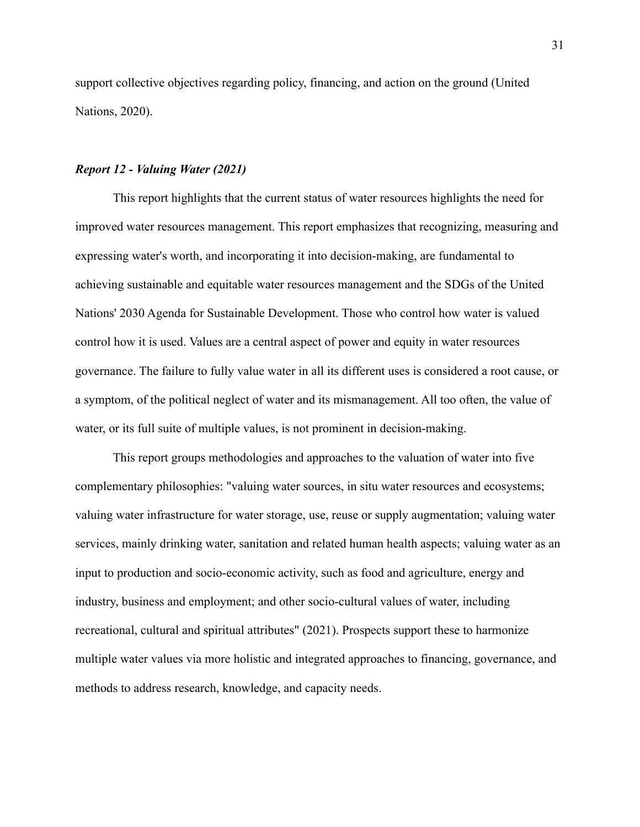support collective objectives regarding policy, financing, and action on the ground [\(United](https://www.zotero.org/google-docs/?5IEwt8) [Nations, 2020\)](https://www.zotero.org/google-docs/?5IEwt8).

#### <span id="page-30-0"></span>*Report 12 - Valuing Water (2021)*

This report highlights that the current status of water resources highlights the need for improved water resources management. This report emphasizes that recognizing, measuring and expressing water's worth, and incorporating it into decision-making, are fundamental to achieving sustainable and equitable water resources management and the SDGs of the United Nations' 2030 Agenda for Sustainable Development. Those who control how water is valued control how it is used. Values are a central aspect of power and equity in water resources governance. The failure to fully value water in all its different uses is considered a root cause, or a symptom, of the political neglect of water and its mismanagement. All too often, the value of water, or its full suite of multiple values, is not prominent in decision-making.

This report groups methodologies and approaches to the valuation of water into five complementary philosophies: "valuing water sources, in situ water resources and ecosystems; valuing water infrastructure for water storage, use, reuse or supply augmentation; valuing water services, mainly drinking water, sanitation and related human health aspects; valuing water as an input to production and socio-economic activity, such as food and agriculture, energy and industry, business and employment; and other socio-cultural values of water, including recreational, cultural and spiritual attributes" (2021). Prospects support these to harmonize multiple water values via more holistic and integrated approaches to financing, governance, and methods to address research, knowledge, and capacity needs.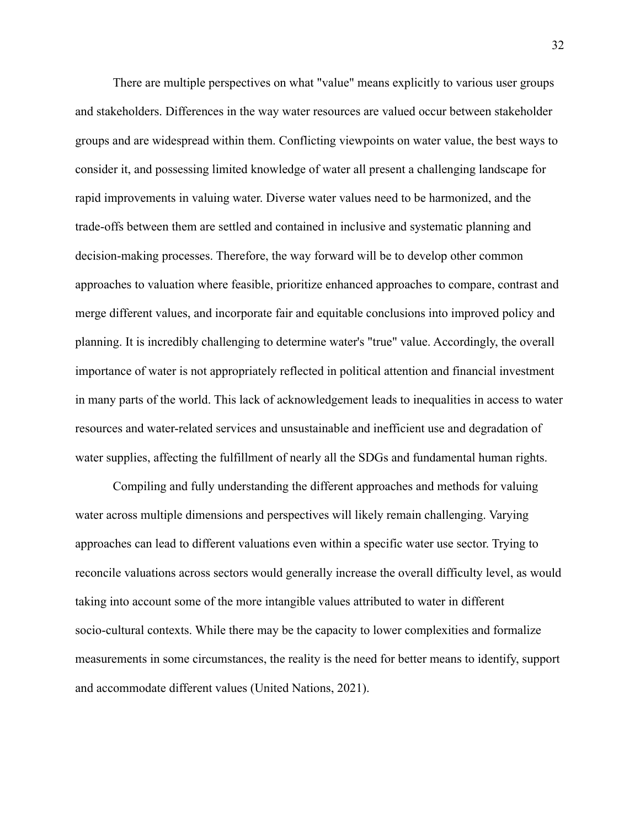There are multiple perspectives on what "value" means explicitly to various user groups and stakeholders. Differences in the way water resources are valued occur between stakeholder groups and are widespread within them. Conflicting viewpoints on water value, the best ways to consider it, and possessing limited knowledge of water all present a challenging landscape for rapid improvements in valuing water. Diverse water values need to be harmonized, and the trade-offs between them are settled and contained in inclusive and systematic planning and decision-making processes. Therefore, the way forward will be to develop other common approaches to valuation where feasible, prioritize enhanced approaches to compare, contrast and merge different values, and incorporate fair and equitable conclusions into improved policy and planning. It is incredibly challenging to determine water's "true" value. Accordingly, the overall importance of water is not appropriately reflected in political attention and financial investment in many parts of the world. This lack of acknowledgement leads to inequalities in access to water resources and water-related services and unsustainable and inefficient use and degradation of water supplies, affecting the fulfillment of nearly all the SDGs and fundamental human rights.

Compiling and fully understanding the different approaches and methods for valuing water across multiple dimensions and perspectives will likely remain challenging. Varying approaches can lead to different valuations even within a specific water use sector. Trying to reconcile valuations across sectors would generally increase the overall difficulty level, as would taking into account some of the more intangible values attributed to water in different socio-cultural contexts. While there may be the capacity to lower complexities and formalize measurements in some circumstances, the reality is the need for better means to identify, support and accommodate different values [\(United Nations,](https://www.zotero.org/google-docs/?rQTadk) 2021).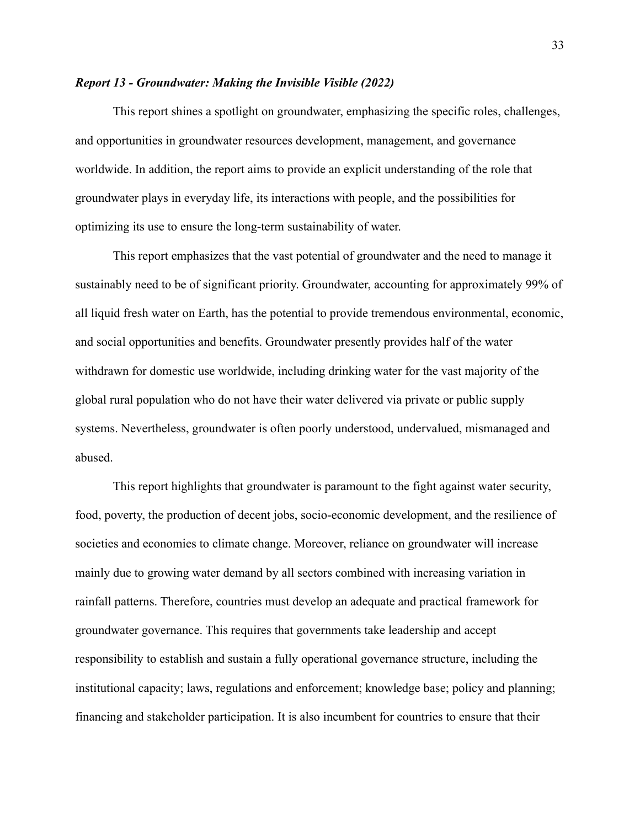#### <span id="page-32-0"></span>*Report 13 - Groundwater: Making the Invisible Visible (2022)*

This report shines a spotlight on groundwater, emphasizing the specific roles, challenges, and opportunities in groundwater resources development, management, and governance worldwide. In addition, the report aims to provide an explicit understanding of the role that groundwater plays in everyday life, its interactions with people, and the possibilities for optimizing its use to ensure the long-term sustainability of water.

This report emphasizes that the vast potential of groundwater and the need to manage it sustainably need to be of significant priority. Groundwater, accounting for approximately 99% of all liquid fresh water on Earth, has the potential to provide tremendous environmental, economic, and social opportunities and benefits. Groundwater presently provides half of the water withdrawn for domestic use worldwide, including drinking water for the vast majority of the global rural population who do not have their water delivered via private or public supply systems. Nevertheless, groundwater is often poorly understood, undervalued, mismanaged and abused.

This report highlights that groundwater is paramount to the fight against water security, food, poverty, the production of decent jobs, socio-economic development, and the resilience of societies and economies to climate change. Moreover, reliance on groundwater will increase mainly due to growing water demand by all sectors combined with increasing variation in rainfall patterns. Therefore, countries must develop an adequate and practical framework for groundwater governance. This requires that governments take leadership and accept responsibility to establish and sustain a fully operational governance structure, including the institutional capacity; laws, regulations and enforcement; knowledge base; policy and planning; financing and stakeholder participation. It is also incumbent for countries to ensure that their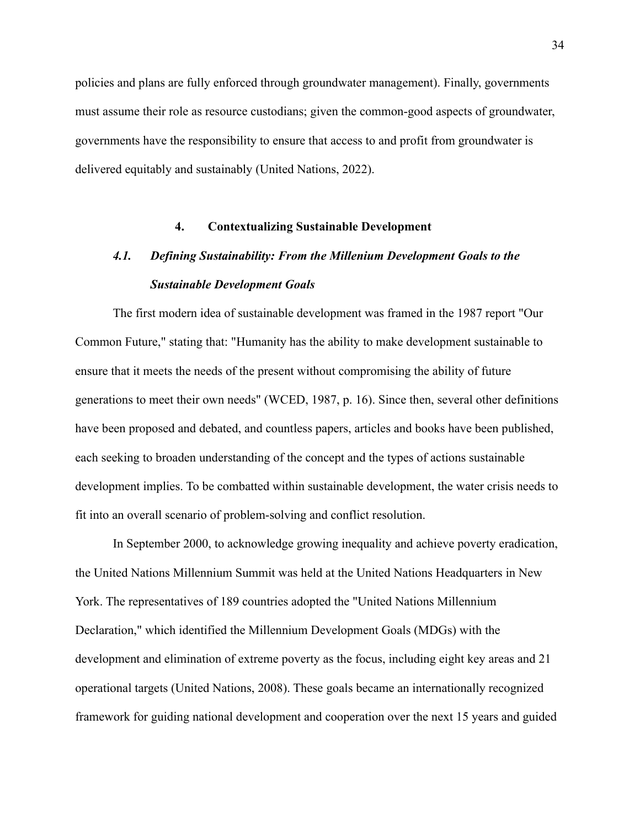policies and plans are fully enforced through groundwater management). Finally, governments must assume their role as resource custodians; given the common-good aspects of groundwater, governments have the responsibility to ensure that access to and profit from groundwater is delivered equitably and sustainably [\(United Nations,](https://www.zotero.org/google-docs/?nIcWqY) 2022).

### **4. Contextualizing Sustainable Development**

# <span id="page-33-0"></span>*4.1. Defining Sustainability: From the Millenium Development Goals to the Sustainable Development Goals*

<span id="page-33-1"></span>The first modern idea of sustainable development was framed in the 1987 report "Our Common Future," stating that: "Humanity has the ability to make development sustainable to ensure that it meets the needs of the present without compromising the ability of future generations to meet their own needs" (WCED, 1987, p. 16). Since then, several other definitions have been proposed and debated, and countless papers, articles and books have been published, each seeking to broaden understanding of the concept and the types of actions sustainable development implies. To be combatted within sustainable development, the water crisis needs to fit into an overall scenario of problem-solving and conflict resolution.

In September 2000, to acknowledge growing inequality and achieve poverty eradication, the United Nations Millennium Summit was held at the United Nations Headquarters in New York. The representatives of 189 countries adopted the "United Nations Millennium Declaration," which identified the Millennium Development Goals (MDGs) with the development and elimination of extreme poverty as the focus, including eight key areas and 21 operational targets [\(United Nations, 2008\).](https://www.zotero.org/google-docs/?gntnq0) These goals became an internationally recognized framework for guiding national development and cooperation over the next 15 years and guided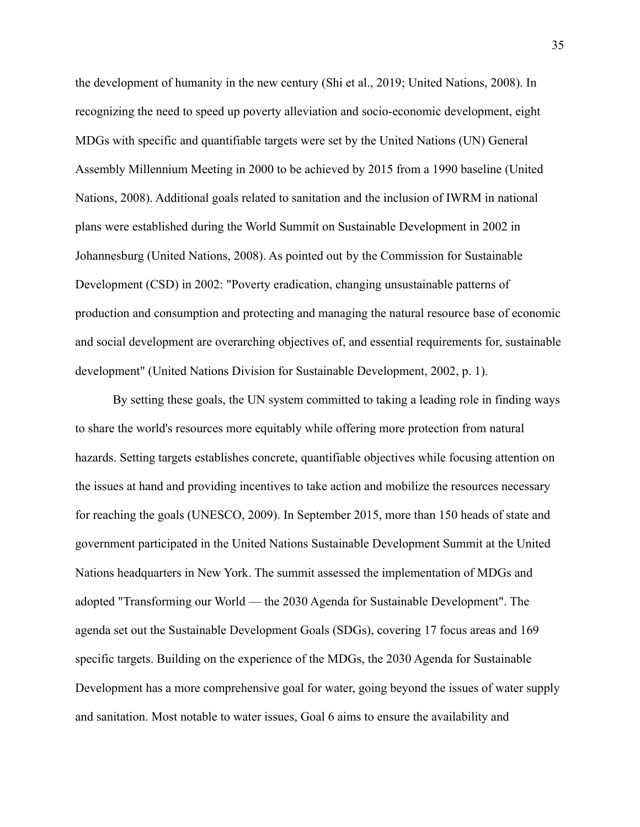the development of humanity in the new century [\(Shi et al., 2019; United Nations, 2008\).](https://www.zotero.org/google-docs/?w0erqF) In recognizing the need to speed up poverty alleviation and socio-economic development, eight MDGs with specific and quantifiable targets were set by the United Nations (UN) General Assembly Millennium Meeting in 2000 to be achieved by 2015 from a 1990 baseline (United Nations, 2008). Additional goals related to sanitation and the inclusion of IWRM in national plans were established during the World Summit on Sustainable Development in 2002 in Johannesburg [\(United Nations, 2008\).](https://www.zotero.org/google-docs/?o1Mgsb) As pointed out by the Commission for Sustainable Development (CSD) in 2002: "Poverty eradication, changing unsustainable patterns of production and consumption and protecting and managing the natural resource base of economic and social development are overarching objectives of, and essential requirements for, sustainable development" [\(United Nations Division for Sustainable](https://www.zotero.org/google-docs/?C5d2Eo) Development, 2002, p. 1).

By setting these goals, the UN system committed to taking a leading role in finding ways to share the world's resources more equitably while offering more protection from natural hazards. Setting targets establishes concrete, quantifiable objectives while focusing attention on the issues at hand and providing incentives to take action and mobilize the resources necessary for reaching the goals [\(UNESCO, 2009\)](https://www.zotero.org/google-docs/?W9jjnS). In September 2015, more than 150 heads of state and government participated in the United Nations Sustainable Development Summit at the United Nations headquarters in New York. The summit assessed the implementation of MDGs and adopted "Transforming our World — the 2030 Agenda for Sustainable Development". The agenda set out the Sustainable Development Goals (SDGs), covering 17 focus areas and 169 specific targets. Building on the experience of the MDGs, the 2030 Agenda for Sustainable Development has a more comprehensive goal for water, going beyond the issues of water supply and sanitation. Most notable to water issues, Goal 6 aims to ensure the availability and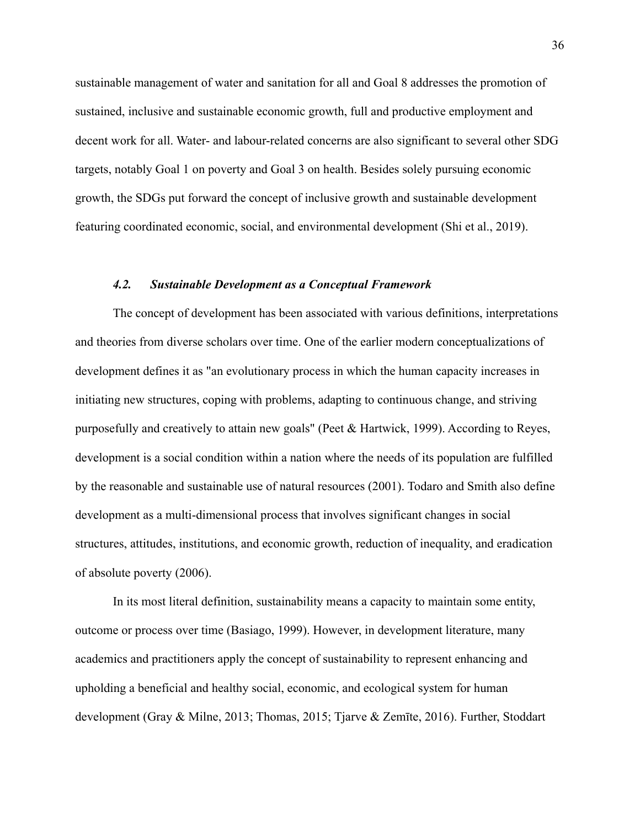sustainable management of water and sanitation for all and Goal 8 addresses the promotion of sustained, inclusive and sustainable economic growth, full and productive employment and decent work for all. Water- and labour-related concerns are also significant to several other SDG targets, notably Goal 1 on poverty and Goal 3 on health. Besides solely pursuing economic growth, the SDGs put forward the concept of inclusive growth and sustainable development featuring coordinated economic, social, and environmental development [\(Shi et al., 2019\).](https://www.zotero.org/google-docs/?AOVT2v)

#### *4.2. Sustainable Development as a Conceptual Framework*

<span id="page-35-0"></span>The concept of development has been associated with various definitions, interpretations and theories from diverse scholars over time. One of the earlier modern conceptualizations of development defines it as "an evolutionary process in which the human capacity increases in initiating new structures, coping with problems, adapting to continuous change, and striving purposefully and creatively to attain new goals" (Peet & Hartwick, 1999). According to Reyes, development is a social condition within a nation where the needs of its population are fulfilled by the reasonable and sustainable use of natural resources (2001). Todaro and Smith also define development as a multi-dimensional process that involves significant changes in social structures, attitudes, institutions, and economic growth, reduction of inequality, and eradication of absolute poverty (2006).

In its most literal definition, sustainability means a capacity to maintain some entity, outcome or process over time (Basiago, 1999). However, in development literature, many academics and practitioners apply the concept of sustainability to represent enhancing and upholding a beneficial and healthy social, economic, and ecological system for human development (Gray & Milne, 2013; Thomas, 2015; Tjarve & Zemīte, 2016). Further, Stoddart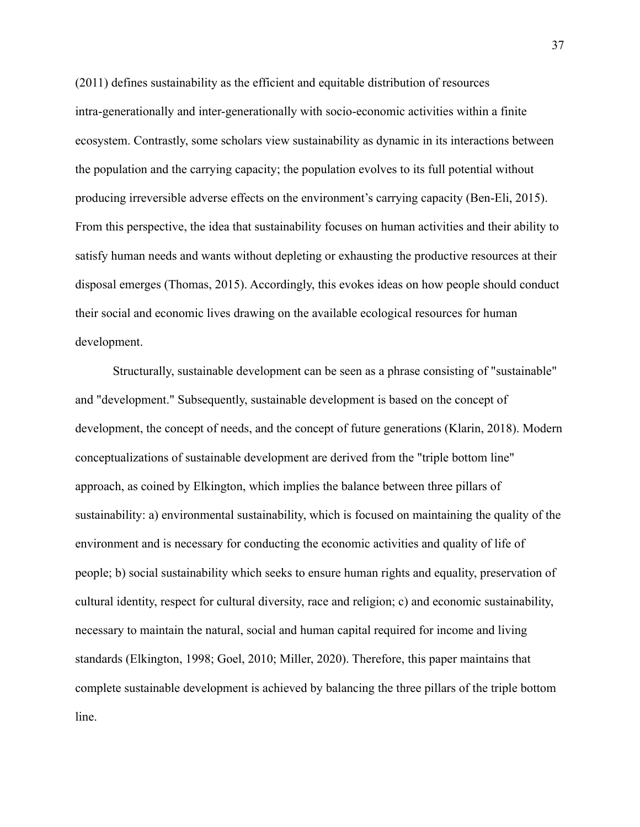(2011) defines sustainability as the efficient and equitable distribution of resources intra-generationally and inter-generationally with socio-economic activities within a finite ecosystem. Contrastly, some scholars view sustainability as dynamic in its interactions between the population and the carrying capacity; the population evolves to its full potential without producing irreversible adverse effects on the environment's carrying capacity (Ben-Eli, 2015). From this perspective, the idea that sustainability focuses on human activities and their ability to satisfy human needs and wants without depleting or exhausting the productive resources at their disposal emerges (Thomas, 2015). Accordingly, this evokes ideas on how people should conduct their social and economic lives drawing on the available ecological resources for human development.

Structurally, sustainable development can be seen as a phrase consisting of "sustainable" and "development." Subsequently, sustainable development is based on the concept of development, the concept of needs, and the concept of future generations (Klarin, 2018). Modern conceptualizations of sustainable development are derived from the "triple bottom line" approach, as coined by Elkington, which implies the balance between three pillars of sustainability: a) environmental sustainability, which is focused on maintaining the quality of the environment and is necessary for conducting the economic activities and quality of life of people; b) social sustainability which seeks to ensure human rights and equality, preservation of cultural identity, respect for cultural diversity, race and religion; c) and economic sustainability, necessary to maintain the natural, social and human capital required for income and living standards (Elkington, 1998; Goel, 2010; Miller, 2020). Therefore, this paper maintains that complete sustainable development is achieved by balancing the three pillars of the triple bottom line.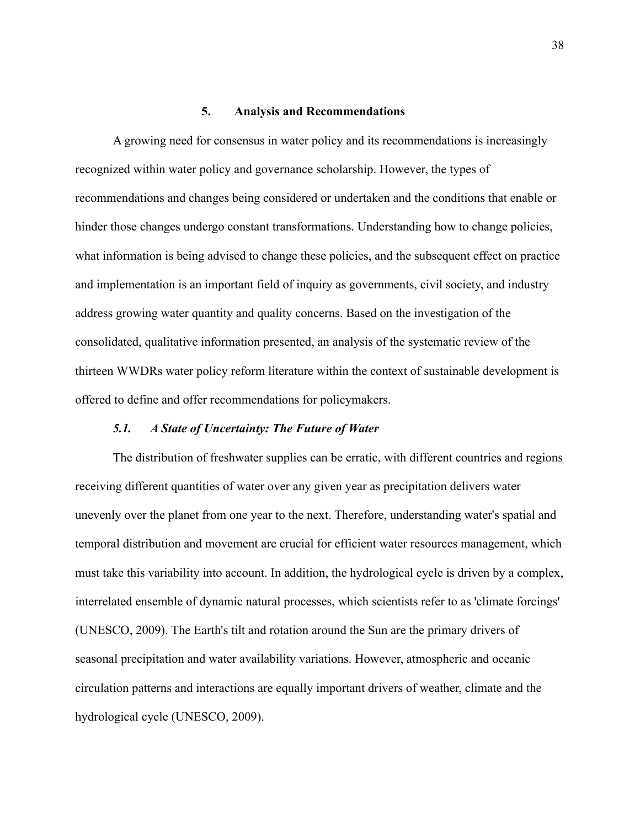#### **5. Analysis and Recommendations**

<span id="page-37-0"></span>A growing need for consensus in water policy and its recommendations is increasingly recognized within water policy and governance scholarship. However, the types of recommendations and changes being considered or undertaken and the conditions that enable or hinder those changes undergo constant transformations. Understanding how to change policies, what information is being advised to change these policies, and the subsequent effect on practice and implementation is an important field of inquiry as governments, civil society, and industry address growing water quantity and quality concerns. Based on the investigation of the consolidated, qualitative information presented, an analysis of the systematic review of the thirteen WWDRs water policy reform literature within the context of sustainable development is offered to define and offer recommendations for policymakers.

#### *5.1. A State of Uncertainty: The Future of Water*

<span id="page-37-1"></span>The distribution of freshwater supplies can be erratic, with different countries and regions receiving different quantities of water over any given year as precipitation delivers water unevenly over the planet from one year to the next. Therefore, understanding water's spatial and temporal distribution and movement are crucial for efficient water resources management, which must take this variability into account. In addition, the hydrological cycle is driven by a complex, interrelated ensemble of dynamic natural processes, which scientists refer to as 'climate forcings' (UNESCO, 2009). The Earth's tilt and rotation around the Sun are the primary drivers of seasonal precipitation and water availability variations. However, atmospheric and oceanic circulation patterns and interactions are equally important drivers of weather, climate and the hydrological cycle [\(UNESCO, 2009\).](https://www.zotero.org/google-docs/?DtZtxO)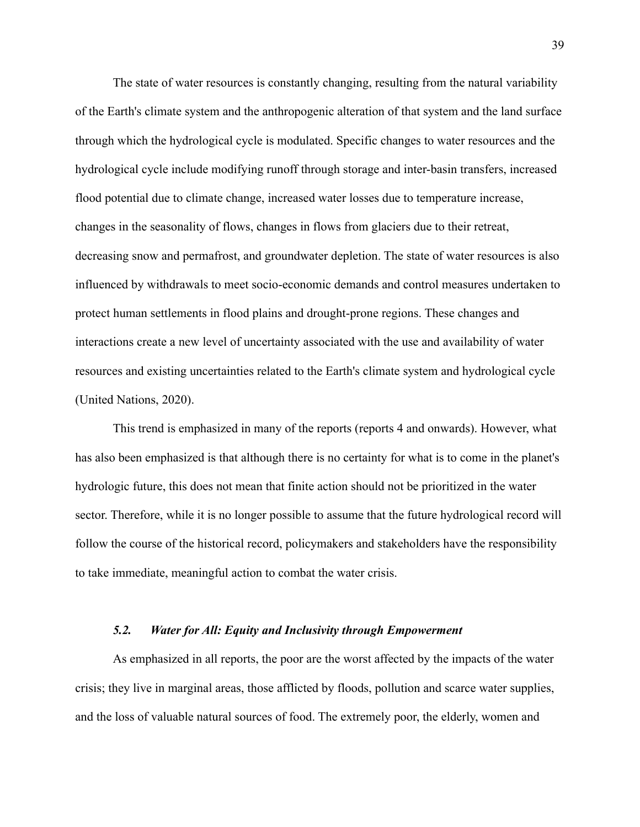The state of water resources is constantly changing, resulting from the natural variability of the Earth's climate system and the anthropogenic alteration of that system and the land surface through which the hydrological cycle is modulated. Specific changes to water resources and the hydrological cycle include modifying runoff through storage and inter-basin transfers, increased flood potential due to climate change, increased water losses due to temperature increase, changes in the seasonality of flows, changes in flows from glaciers due to their retreat, decreasing snow and permafrost, and groundwater depletion. The state of water resources is also influenced by withdrawals to meet socio-economic demands and control measures undertaken to protect human settlements in flood plains and drought-prone regions. These changes and interactions create a new level of uncertainty associated with the use and availability of water resources and existing uncertainties related to the Earth's climate system and hydrological cycle [\(United Nations, 2020\).](https://www.zotero.org/google-docs/?KIvy2f)

This trend is emphasized in many of the reports (reports 4 and onwards). However, what has also been emphasized is that although there is no certainty for what is to come in the planet's hydrologic future, this does not mean that finite action should not be prioritized in the water sector. Therefore, while it is no longer possible to assume that the future hydrological record will follow the course of the historical record, policymakers and stakeholders have the responsibility to take immediate, meaningful action to combat the water crisis.

# *5.2. Water for All: Equity and Inclusivity through Empowerment*

<span id="page-38-0"></span>As emphasized in all reports, the poor are the worst affected by the impacts of the water crisis; they live in marginal areas, those afflicted by floods, pollution and scarce water supplies, and the loss of valuable natural sources of food. The extremely poor, the elderly, women and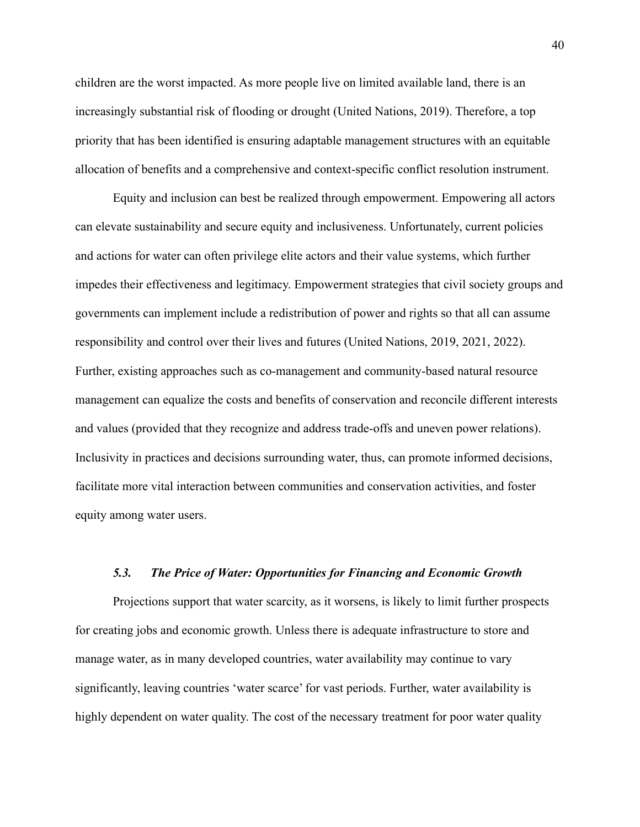children are the worst impacted. As more people live on limited available land, there is an increasingly substantial risk of flooding or drought [\(United Nations, 2019\).](https://www.zotero.org/google-docs/?O0AHHA) Therefore, a top priority that has been identified is ensuring adaptable management structures with an equitable allocation of benefits and a comprehensive and context-specific conflict resolution instrument.

Equity and inclusion can best be realized through empowerment. Empowering all actors can elevate sustainability and secure equity and inclusiveness. Unfortunately, current policies and actions for water can often privilege elite actors and their value systems, which further impedes their effectiveness and legitimacy. Empowerment strategies that civil society groups and governments can implement include a redistribution of power and rights so that all can assume responsibility and control over their lives and futures [\(United Nations, 2019, 2021, 2022\)](https://www.zotero.org/google-docs/?Vx8Ejc). Further, existing approaches such as co-management and community-based natural resource management can equalize the costs and benefits of conservation and reconcile different interests and values (provided that they recognize and address trade-offs and uneven power relations). Inclusivity in practices and decisions surrounding water, thus, can promote informed decisions, facilitate more vital interaction between communities and conservation activities, and foster equity among water users.

### *5.3. The Price of Water: Opportunities for Financing and Economic Growth*

<span id="page-39-0"></span>Projections support that water scarcity, as it worsens, is likely to limit further prospects for creating jobs and economic growth. Unless there is adequate infrastructure to store and manage water, as in many developed countries, water availability may continue to vary significantly, leaving countries 'water scarce' for vast periods. Further, water availability is highly dependent on water quality. The cost of the necessary treatment for poor water quality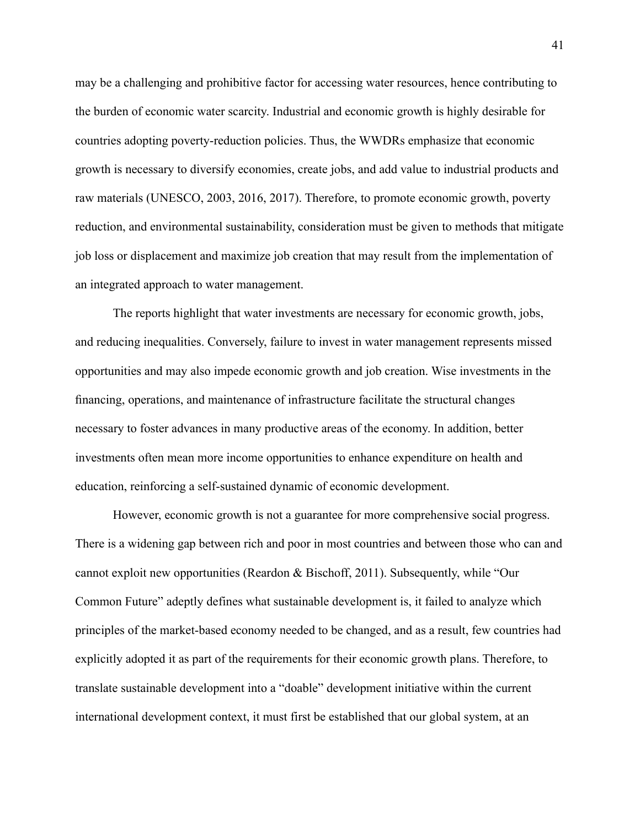may be a challenging and prohibitive factor for accessing water resources, hence contributing to the burden of economic water scarcity. Industrial and economic growth is highly desirable for countries adopting poverty-reduction policies. Thus, the WWDRs emphasize that economic growth is necessary to diversify economies, create jobs, and add value to industrial products and raw materials [\(UNESCO, 2003, 2016, 2017\).](https://www.zotero.org/google-docs/?JnJ6fq) Therefore, to promote economic growth, poverty reduction, and environmental sustainability, consideration must be given to methods that mitigate job loss or displacement and maximize job creation that may result from the implementation of an integrated approach to water management.

The reports highlight that water investments are necessary for economic growth, jobs, and reducing inequalities. Conversely, failure to invest in water management represents missed opportunities and may also impede economic growth and job creation. Wise investments in the financing, operations, and maintenance of infrastructure facilitate the structural changes necessary to foster advances in many productive areas of the economy. In addition, better investments often mean more income opportunities to enhance expenditure on health and education, reinforcing a self-sustained dynamic of economic development.

However, economic growth is not a guarantee for more comprehensive social progress. There is a widening gap between rich and poor in most countries and between those who can and cannot exploit new opportunities [\(Reardon & Bischoff,](https://www.zotero.org/google-docs/?TrFw8P) 2011). Subsequently, while "Our Common Future" adeptly defines what sustainable development is, it failed to analyze which principles of the market-based economy needed to be changed, and as a result, few countries had explicitly adopted it as part of the requirements for their economic growth plans. Therefore, to translate sustainable development into a "doable" development initiative within the current international development context, it must first be established that our global system, at an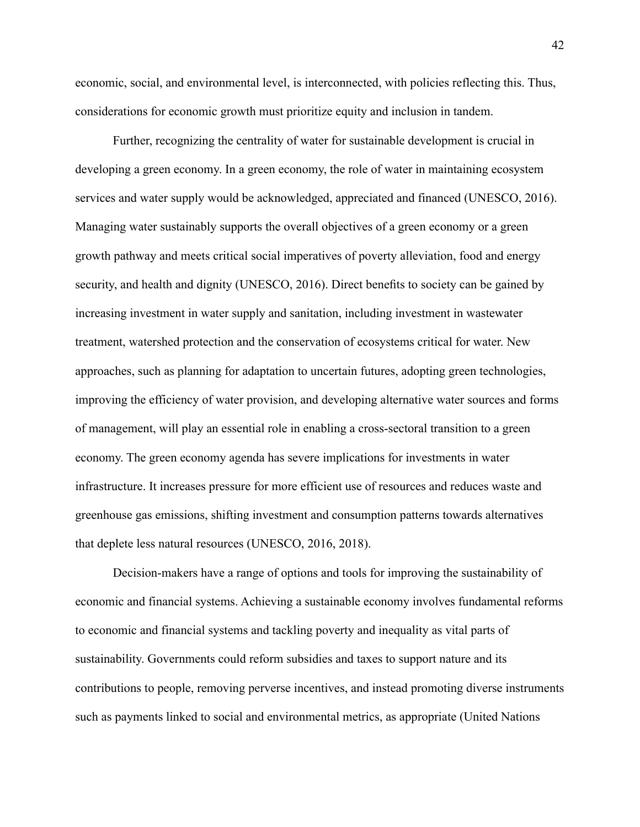economic, social, and environmental level, is interconnected, with policies reflecting this. Thus, considerations for economic growth must prioritize equity and inclusion in tandem.

Further, recognizing the centrality of water for sustainable development is crucial in developing a green economy. In a green economy, the role of water in maintaining ecosystem services and water supply would be acknowledged, appreciated and financed [\(UNESCO, 2016\)](https://www.zotero.org/google-docs/?Rhf1UW). Managing water sustainably supports the overall objectives of a green economy or a green growth pathway and meets critical social imperatives of poverty alleviation, food and energy security, and health and dignity (UNESCO, 2016). Direct benefits to society can be gained by increasing investment in water supply and sanitation, including investment in wastewater treatment, watershed protection and the conservation of ecosystems critical for water. New approaches, such as planning for adaptation to uncertain futures, adopting green technologies, improving the efficiency of water provision, and developing alternative water sources and forms of management, will play an essential role in enabling a cross-sectoral transition to a green economy. The green economy agenda has severe implications for investments in water infrastructure. It increases pressure for more efficient use of resources and reduces waste and greenhouse gas emissions, shifting investment and consumption patterns towards alternatives that deplete less natural resources [\(UNESCO, 2016,](https://www.zotero.org/google-docs/?GyzFsJ) 2018).

Decision-makers have a range of options and tools for improving the sustainability of economic and financial systems. Achieving a sustainable economy involves fundamental reforms to economic and financial systems and tackling poverty and inequality as vital parts of sustainability. Governments could reform subsidies and taxes to support nature and its contributions to people, removing perverse incentives, and instead promoting diverse instruments such as payments linked to social and environmental metrics, as appropriate (United Nations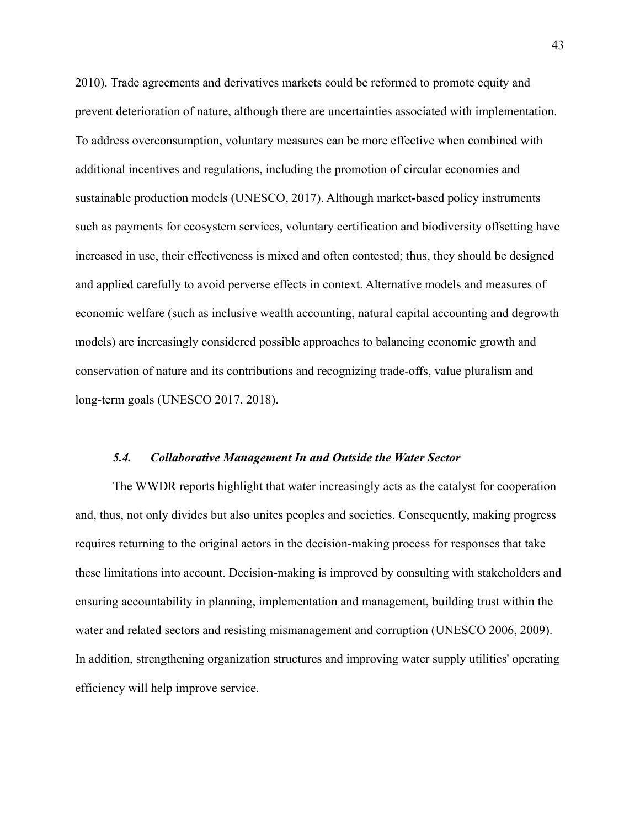2010). Trade agreements and derivatives markets could be reformed to promote equity and prevent deterioration of nature, although there are uncertainties associated with implementation. To address overconsumption, voluntary measures can be more effective when combined with additional incentives and regulations, including the promotion of circular economies and sustainable production models (UNESCO, 2017). Although market-based policy instruments such as payments for ecosystem services, voluntary certification and biodiversity offsetting have increased in use, their effectiveness is mixed and often contested; thus, they should be designed and applied carefully to avoid perverse effects in context. Alternative models and measures of economic welfare (such as inclusive wealth accounting, natural capital accounting and degrowth models) are increasingly considered possible approaches to balancing economic growth and conservation of nature and its contributions and recognizing trade-offs, value pluralism and long-term goals (UNESCO 2017, 2018).

#### *5.4. Collaborative Management In and Outside the Water Sector*

<span id="page-42-0"></span>The WWDR reports highlight that water increasingly acts as the catalyst for cooperation and, thus, not only divides but also unites peoples and societies. Consequently, making progress requires returning to the original actors in the decision-making process for responses that take these limitations into account. Decision-making is improved by consulting with stakeholders and ensuring accountability in planning, implementation and management, building trust within the water and related sectors and resisting mismanagement and corruption (UNESCO 2006, 2009). In addition, strengthening organization structures and improving water supply utilities' operating efficiency will help improve service.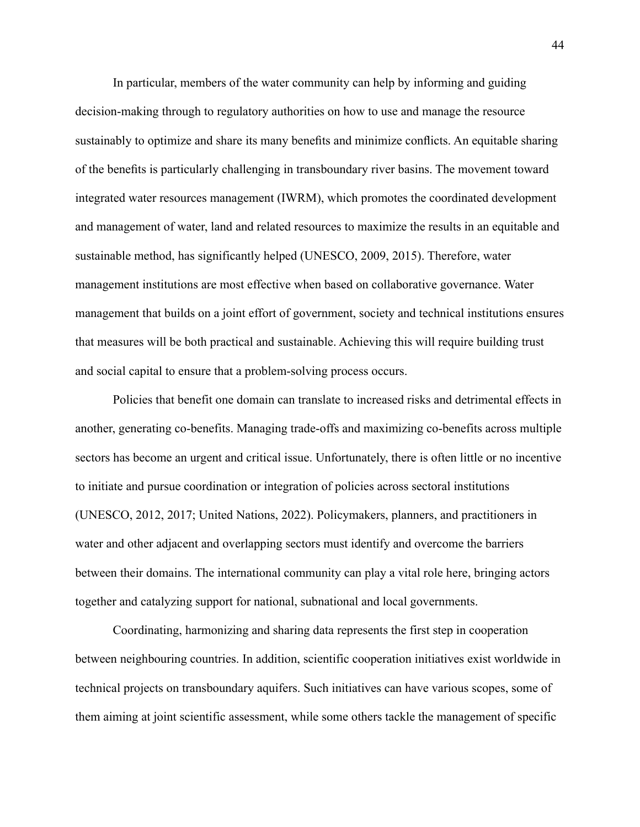In particular, members of the water community can help by informing and guiding decision-making through to regulatory authorities on how to use and manage the resource sustainably to optimize and share its many benefits and minimize conflicts. An equitable sharing of the benefits is particularly challenging in transboundary river basins. The movement toward integrated water resources management (IWRM), which promotes the coordinated development and management of water, land and related resources to maximize the results in an equitable and sustainable method, has significantly helped (UNESCO, [2009, 2015\)](https://www.zotero.org/google-docs/?cKVdpt). Therefore, water management institutions are most effective when based on collaborative governance. Water management that builds on a joint effort of government, society and technical institutions ensures that measures will be both practical and sustainable. Achieving this will require building trust and social capital to ensure that a problem-solving process occurs.

Policies that benefit one domain can translate to increased risks and detrimental effects in another, generating co-benefits. Managing trade-offs and maximizing co-benefits across multiple sectors has become an urgent and critical issue. Unfortunately, there is often little or no incentive to initiate and pursue coordination or integration of policies across sectoral institutions [\(UNESCO, 2012, 2017; United Nations, 2022\)](https://www.zotero.org/google-docs/?eqjjKT). Policymakers, planners, and practitioners in water and other adjacent and overlapping sectors must identify and overcome the barriers between their domains. The international community can play a vital role here, bringing actors together and catalyzing support for national, subnational and local governments.

Coordinating, harmonizing and sharing data represents the first step in cooperation between neighbouring countries. In addition, scientific cooperation initiatives exist worldwide in technical projects on transboundary aquifers. Such initiatives can have various scopes, some of them aiming at joint scientific assessment, while some others tackle the management of specific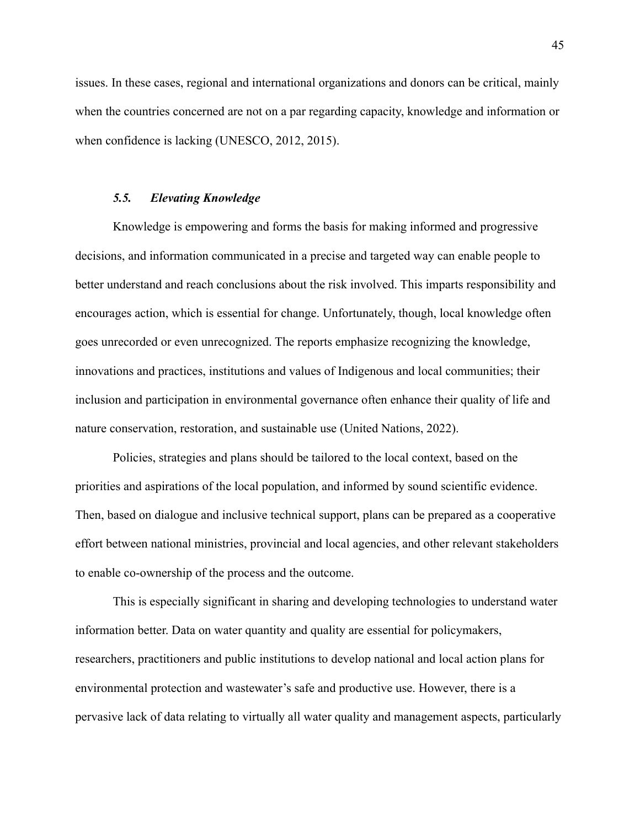issues. In these cases, regional and international organizations and donors can be critical, mainly when the countries concerned are not on a par regarding capacity, knowledge and information or when confidence is lacking [\(UNESCO, 2012, 2015\).](https://www.zotero.org/google-docs/?xJrj1w)

# *5.5. Elevating Knowledge*

<span id="page-44-0"></span>Knowledge is empowering and forms the basis for making informed and progressive decisions, and information communicated in a precise and targeted way can enable people to better understand and reach conclusions about the risk involved. This imparts responsibility and encourages action, which is essential for change. Unfortunately, though, local knowledge often goes unrecorded or even unrecognized. The reports emphasize recognizing the knowledge, innovations and practices, institutions and values of Indigenous and local communities; their inclusion and participation in environmental governance often enhance their quality of life and nature conservation, restoration, and sustainable use [\(United Nations, 2022\)](https://www.zotero.org/google-docs/?swbKG6).

Policies, strategies and plans should be tailored to the local context, based on the priorities and aspirations of the local population, and informed by sound scientific evidence. Then, based on dialogue and inclusive technical support, plans can be prepared as a cooperative effort between national ministries, provincial and local agencies, and other relevant stakeholders to enable co-ownership of the process and the outcome.

This is especially significant in sharing and developing technologies to understand water information better. Data on water quantity and quality are essential for policymakers, researchers, practitioners and public institutions to develop national and local action plans for environmental protection and wastewater's safe and productive use. However, there is a pervasive lack of data relating to virtually all water quality and management aspects, particularly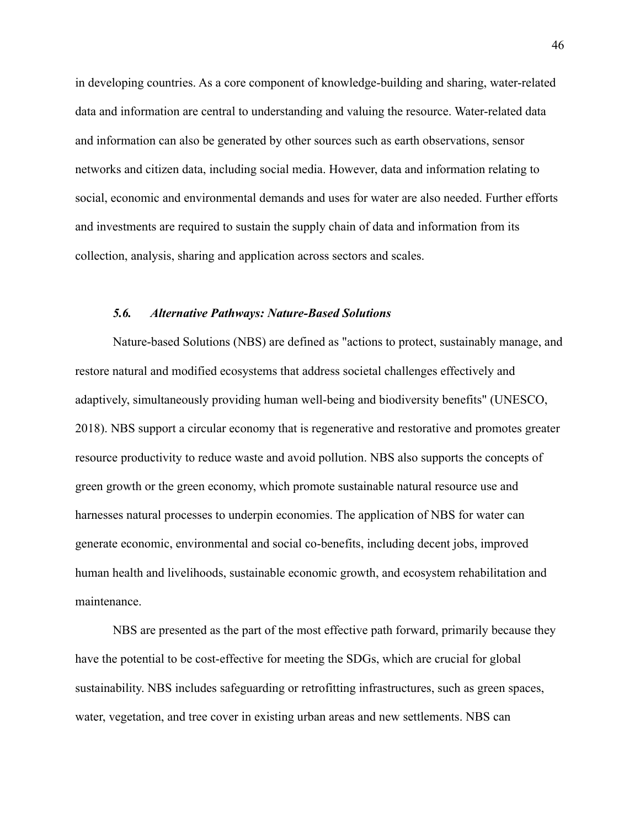in developing countries. As a core component of knowledge-building and sharing, water-related data and information are central to understanding and valuing the resource. Water-related data and information can also be generated by other sources such as earth observations, sensor networks and citizen data, including social media. However, data and information relating to social, economic and environmental demands and uses for water are also needed. Further efforts and investments are required to sustain the supply chain of data and information from its collection, analysis, sharing and application across sectors and scales.

#### *5.6. Alternative Pathways: Nature-Based Solutions*

<span id="page-45-0"></span>Nature-based Solutions (NBS) are defined as "actions to protect, sustainably manage, and restore natural and modified ecosystems that address societal challenges effectively and adaptively, simultaneously providing human well-being and biodiversity benefits" [\(UNESCO,](https://www.zotero.org/google-docs/?RK5kOv) [2018\).](https://www.zotero.org/google-docs/?RK5kOv) NBS support a circular economy that is regenerative and restorative and promotes greater resource productivity to reduce waste and avoid pollution. NBS also supports the concepts of green growth or the green economy, which promote sustainable natural resource use and harnesses natural processes to underpin economies. The application of NBS for water can generate economic, environmental and social co-benefits, including decent jobs, improved human health and livelihoods, sustainable economic growth, and ecosystem rehabilitation and maintenance.

NBS are presented as the part of the most effective path forward, primarily because they have the potential to be cost-effective for meeting the SDGs, which are crucial for global sustainability. NBS includes safeguarding or retrofitting infrastructures, such as green spaces, water, vegetation, and tree cover in existing urban areas and new settlements. NBS can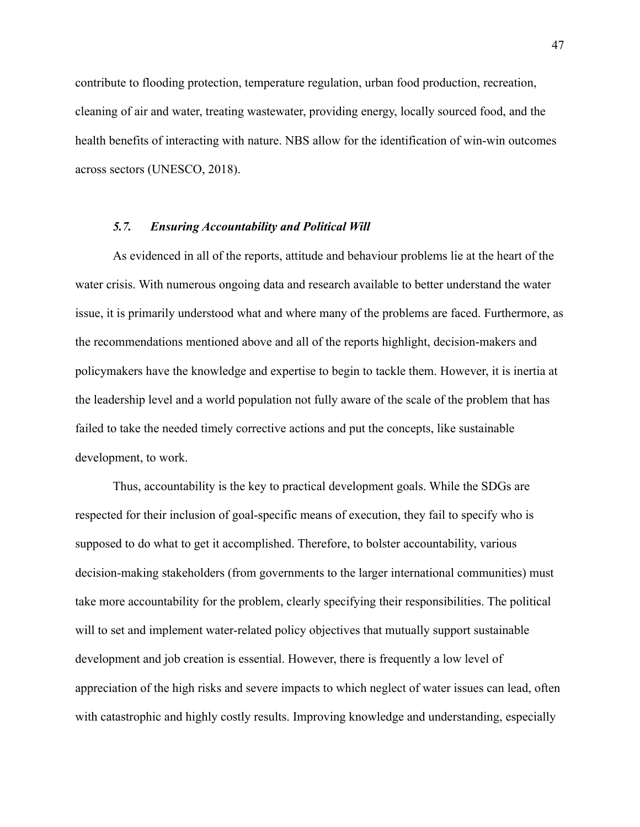contribute to flooding protection, temperature regulation, urban food production, recreation, cleaning of air and water, treating wastewater, providing energy, locally sourced food, and the health benefits of interacting with nature. NBS allow for the identification of win-win outcomes across sectors (UNESCO, 2018).

#### *5.7. Ensuring Accountability and Political Will*

<span id="page-46-0"></span>As evidenced in all of the reports, attitude and behaviour problems lie at the heart of the water crisis. With numerous ongoing data and research available to better understand the water issue, it is primarily understood what and where many of the problems are faced. Furthermore, as the recommendations mentioned above and all of the reports highlight, decision-makers and policymakers have the knowledge and expertise to begin to tackle them. However, it is inertia at the leadership level and a world population not fully aware of the scale of the problem that has failed to take the needed timely corrective actions and put the concepts, like sustainable development, to work.

Thus, accountability is the key to practical development goals. While the SDGs are respected for their inclusion of goal-specific means of execution, they fail to specify who is supposed to do what to get it accomplished. Therefore, to bolster accountability, various decision-making stakeholders (from governments to the larger international communities) must take more accountability for the problem, clearly specifying their responsibilities. The political will to set and implement water-related policy objectives that mutually support sustainable development and job creation is essential. However, there is frequently a low level of appreciation of the high risks and severe impacts to which neglect of water issues can lead, often with catastrophic and highly costly results. Improving knowledge and understanding, especially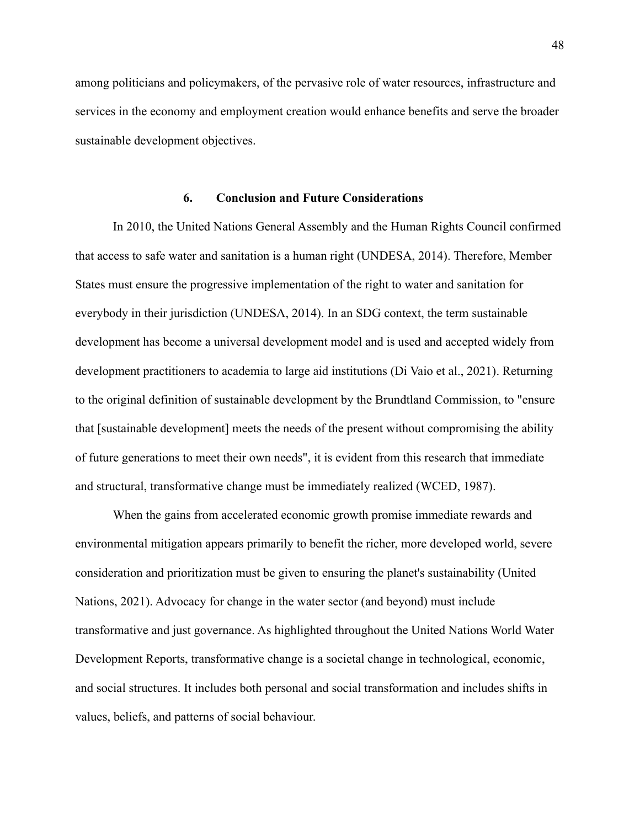among politicians and policymakers, of the pervasive role of water resources, infrastructure and services in the economy and employment creation would enhance benefits and serve the broader sustainable development objectives.

# **6. Conclusion and Future Considerations**

<span id="page-47-0"></span>In 2010, the United Nations General Assembly and the Human Rights Council confirmed that access to safe water and sanitation is a human right [\(UNDESA, 2014\)](https://www.zotero.org/google-docs/?MuveuA). Therefore, Member States must ensure the progressive implementation of the right to water and sanitation for everybody in their jurisdiction (UNDESA, 2014). In an SDG context, the term sustainable development has become a universal development model and is used and accepted widely from development practitioners to academia to large aid institutions [\(Di Vaio et al., 2021\)](https://www.zotero.org/google-docs/?b4E41E). Returning to the original definition of sustainable development by the Brundtland Commission, to "ensure that [sustainable development] meets the needs of the present without compromising the ability of future generations to meet their own needs", it is evident from this research that immediate and structural, transformative change must be immediately realized (WCED, 1987).

When the gains from accelerated economic growth promise immediate rewards and environmental mitigation appears primarily to benefit the richer, more developed world, severe consideration and prioritization must be given to ensuring the planet's sustainability (United Nations, 2021). Advocacy for change in the water sector (and beyond) must include transformative and just governance. As highlighted throughout the United Nations World Water Development Reports, transformative change is a societal change in technological, economic, and social structures. It includes both personal and social transformation and includes shifts in values, beliefs, and patterns of social behaviour.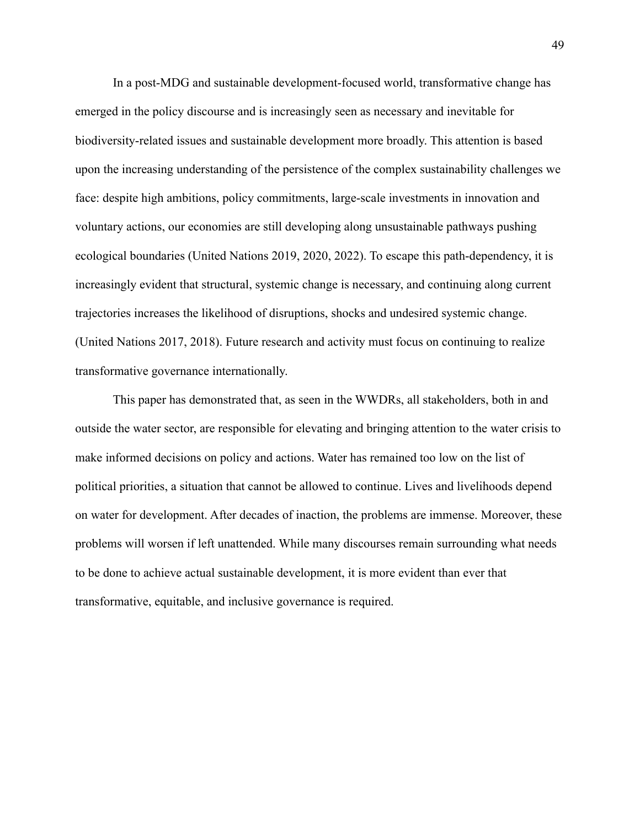In a post-MDG and sustainable development-focused world, transformative change has emerged in the policy discourse and is increasingly seen as necessary and inevitable for biodiversity-related issues and sustainable development more broadly. This attention is based upon the increasing understanding of the persistence of the complex sustainability challenges we face: despite high ambitions, policy commitments, large-scale investments in innovation and voluntary actions, our economies are still developing along unsustainable pathways pushing ecological boundaries (United Nations 2019, 2020, 2022). To escape this path-dependency, it is increasingly evident that structural, systemic change is necessary, and continuing along current trajectories increases the likelihood of disruptions, shocks and undesired systemic change. (United Nations 2017, 2018). Future research and activity must focus on continuing to realize transformative governance internationally.

This paper has demonstrated that, as seen in the WWDRs, all stakeholders, both in and outside the water sector, are responsible for elevating and bringing attention to the water crisis to make informed decisions on policy and actions. Water has remained too low on the list of political priorities, a situation that cannot be allowed to continue. Lives and livelihoods depend on water for development. After decades of inaction, the problems are immense. Moreover, these problems will worsen if left unattended. While many discourses remain surrounding what needs to be done to achieve actual sustainable development, it is more evident than ever that transformative, equitable, and inclusive governance is required.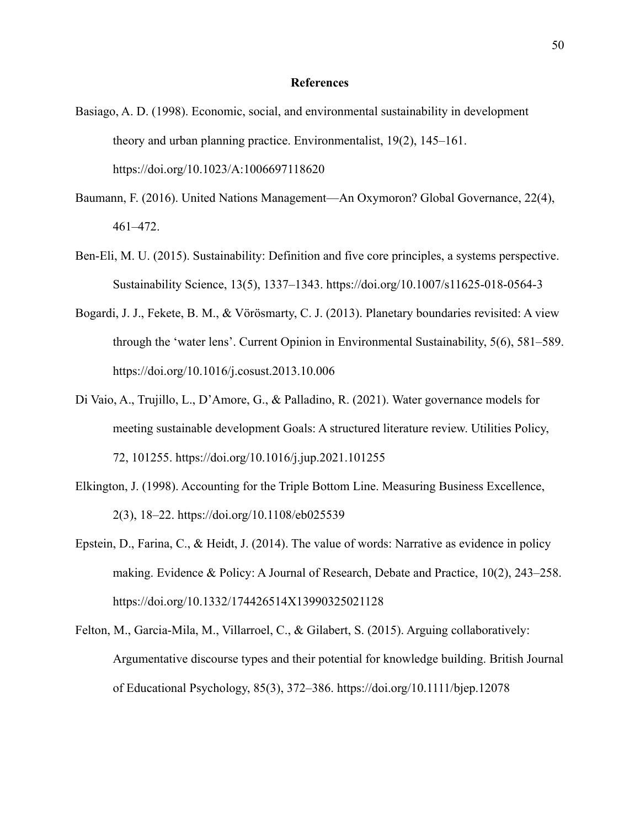#### **References**

- <span id="page-49-0"></span>Basiago, A. D. (1998). Economic, social, and environmental sustainability in development theory and urban planning practice. Environmentalist, 19(2), 145–161. https://doi.org/10.1023/A:1006697118620
- Baumann, F. (2016). United Nations Management—An Oxymoron? Global Governance, 22(4), 461–472.
- Ben-Eli, M. U. (2015). Sustainability: Definition and five core principles, a systems perspective. Sustainability Science, 13(5), 1337–1343. https://doi.org/10.1007/s11625-018-0564-3
- Bogardi, J. J., Fekete, B. M., & Vörösmarty, C. J. (2013). Planetary boundaries revisited: A view through the 'water lens'. Current Opinion in Environmental Sustainability, 5(6), 581–589. https://doi.org/10.1016/j.cosust.2013.10.006
- Di Vaio, A., Trujillo, L., D'Amore, G., & Palladino, R. (2021). Water governance models for meeting sustainable development Goals: A structured literature review. Utilities Policy, 72, 101255. https://doi.org/10.1016/j.jup.2021.101255
- Elkington, J. (1998). Accounting for the Triple Bottom Line. Measuring Business Excellence, 2(3), 18–22. https://doi.org/10.1108/eb025539
- Epstein, D., Farina, C., & Heidt, J. (2014). The value of words: Narrative as evidence in policy making. Evidence & Policy: A Journal of Research, Debate and Practice, 10(2), 243–258. https://doi.org/10.1332/174426514X13990325021128
- Felton, M., Garcia-Mila, M., Villarroel, C., & Gilabert, S. (2015). Arguing collaboratively: Argumentative discourse types and their potential for knowledge building. British Journal of Educational Psychology, 85(3), 372–386. https://doi.org/10.1111/bjep.12078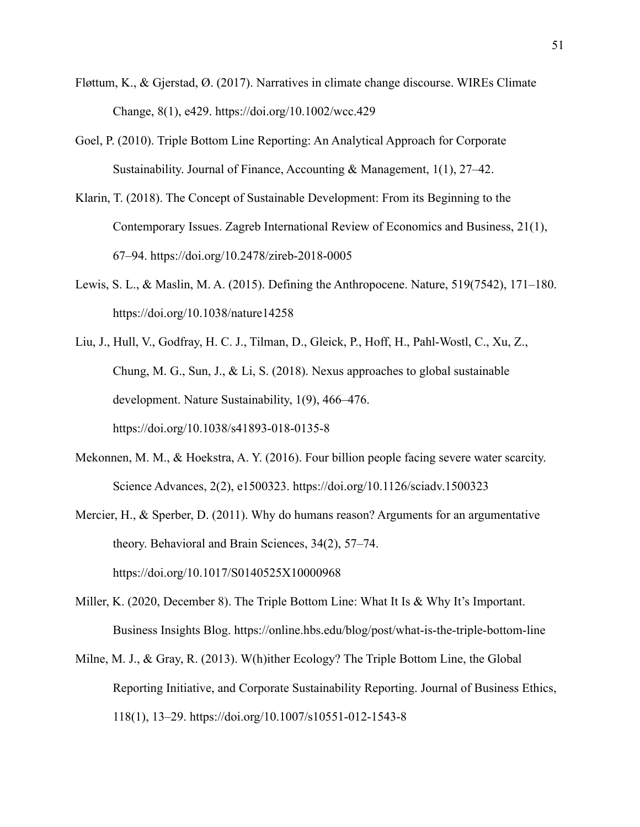- Fløttum, K., & Gjerstad, Ø. (2017). Narratives in climate change discourse. WIREs Climate Change, 8(1), e429. https://doi.org/10.1002/wcc.429
- Goel, P. (2010). Triple Bottom Line Reporting: An Analytical Approach for Corporate Sustainability. Journal of Finance, Accounting & Management, 1(1), 27–42.
- Klarin, T. (2018). The Concept of Sustainable Development: From its Beginning to the Contemporary Issues. Zagreb International Review of Economics and Business, 21(1), 67–94. https://doi.org/10.2478/zireb-2018-0005
- Lewis, S. L., & Maslin, M. A. (2015). Defining the Anthropocene. Nature, 519(7542), 171–180. https://doi.org/10.1038/nature14258
- Liu, J., Hull, V., Godfray, H. C. J., Tilman, D., Gleick, P., Hoff, H., Pahl-Wostl, C., Xu, Z., Chung, M. G., Sun, J., & Li, S. (2018). Nexus approaches to global sustainable development. Nature Sustainability, 1(9), 466–476. https://doi.org/10.1038/s41893-018-0135-8
- Mekonnen, M. M., & Hoekstra, A. Y. (2016). Four billion people facing severe water scarcity. Science Advances, 2(2), e1500323. https://doi.org/10.1126/sciadv.1500323
- Mercier, H., & Sperber, D. (2011). Why do humans reason? Arguments for an argumentative theory. Behavioral and Brain Sciences, 34(2), 57–74. https://doi.org/10.1017/S0140525X10000968
- Miller, K. (2020, December 8). The Triple Bottom Line: What It Is & Why It's Important. Business Insights Blog. https://online.hbs.edu/blog/post/what-is-the-triple-bottom-line
- Milne, M. J., & Gray, R. (2013). W(h)ither Ecology? The Triple Bottom Line, the Global Reporting Initiative, and Corporate Sustainability Reporting. Journal of Business Ethics, 118(1), 13–29. https://doi.org/10.1007/s10551-012-1543-8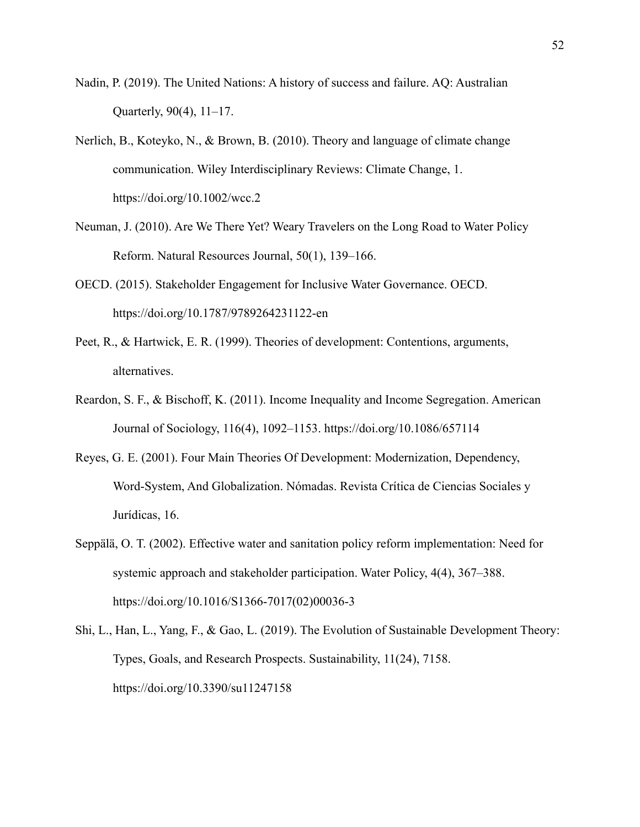- Nadin, P. (2019). The United Nations: A history of success and failure. AQ: Australian Quarterly, 90(4), 11–17.
- Nerlich, B., Koteyko, N., & Brown, B. (2010). Theory and language of climate change communication. Wiley Interdisciplinary Reviews: Climate Change, 1. https://doi.org/10.1002/wcc.2
- Neuman, J. (2010). Are We There Yet? Weary Travelers on the Long Road to Water Policy Reform. Natural Resources Journal, 50(1), 139–166.
- OECD. (2015). Stakeholder Engagement for Inclusive Water Governance. OECD. https://doi.org/10.1787/9789264231122-en
- Peet, R., & Hartwick, E. R. (1999). Theories of development: Contentions, arguments, alternatives.
- Reardon, S. F., & Bischoff, K. (2011). Income Inequality and Income Segregation. American Journal of Sociology, 116(4), 1092–1153. https://doi.org/10.1086/657114
- Reyes, G. E. (2001). Four Main Theories Of Development: Modernization, Dependency, Word-System, And Globalization. Nómadas. Revista Crítica de Ciencias Sociales y Jurídicas, 16.
- Seppälä, O. T. (2002). Effective water and sanitation policy reform implementation: Need for systemic approach and stakeholder participation. Water Policy, 4(4), 367–388. https://doi.org/10.1016/S1366-7017(02)00036-3
- Shi, L., Han, L., Yang, F., & Gao, L. (2019). The Evolution of Sustainable Development Theory: Types, Goals, and Research Prospects. Sustainability, 11(24), 7158. https://doi.org/10.3390/su11247158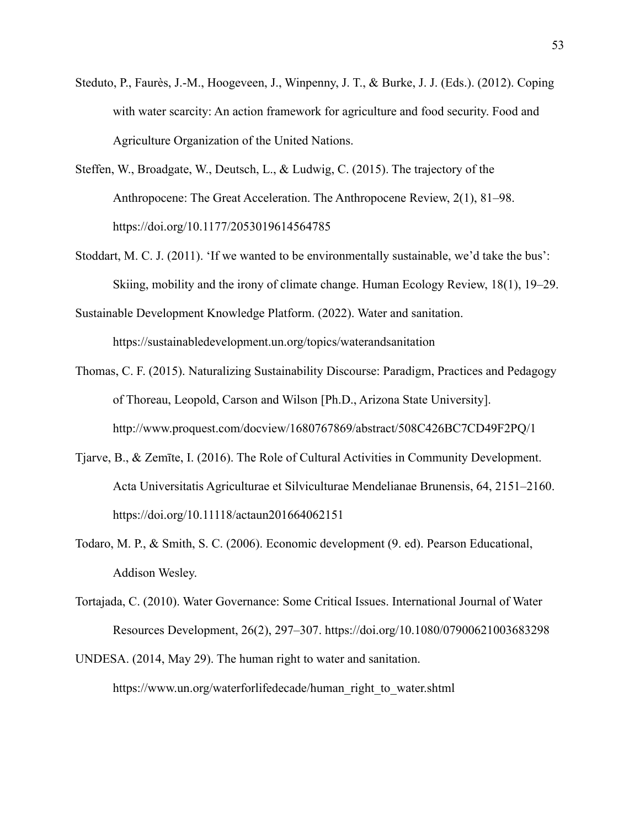- Steduto, P., Faurès, J.-M., Hoogeveen, J., Winpenny, J. T., & Burke, J. J. (Eds.). (2012). Coping with water scarcity: An action framework for agriculture and food security. Food and Agriculture Organization of the United Nations.
- Steffen, W., Broadgate, W., Deutsch, L., & Ludwig, C. (2015). The trajectory of the Anthropocene: The Great Acceleration. The Anthropocene Review, 2(1), 81–98. https://doi.org/10.1177/2053019614564785
- Stoddart, M. C. J. (2011). 'If we wanted to be environmentally sustainable, we'd take the bus': Skiing, mobility and the irony of climate change. Human Ecology Review, 18(1), 19–29.
- Sustainable Development Knowledge Platform. (2022). Water and sanitation. https://sustainabledevelopment.un.org/topics/waterandsanitation
- Thomas, C. F. (2015). Naturalizing Sustainability Discourse: Paradigm, Practices and Pedagogy of Thoreau, Leopold, Carson and Wilson [Ph.D., Arizona State University]. http://www.proquest.com/docview/1680767869/abstract/508C426BC7CD49F2PQ/1
- Tjarve, B., & Zemīte, I. (2016). The Role of Cultural Activities in Community Development. Acta Universitatis Agriculturae et Silviculturae Mendelianae Brunensis, 64, 2151–2160. https://doi.org/10.11118/actaun201664062151
- Todaro, M. P., & Smith, S. C. (2006). Economic development (9. ed). Pearson Educational, Addison Wesley.
- Tortajada, C. (2010). Water Governance: Some Critical Issues. International Journal of Water Resources Development, 26(2), 297–307. https://doi.org/10.1080/07900621003683298
- UNDESA. (2014, May 29). The human right to water and sanitation. https://www.un.org/waterforlifedecade/human\_right\_to\_water.shtml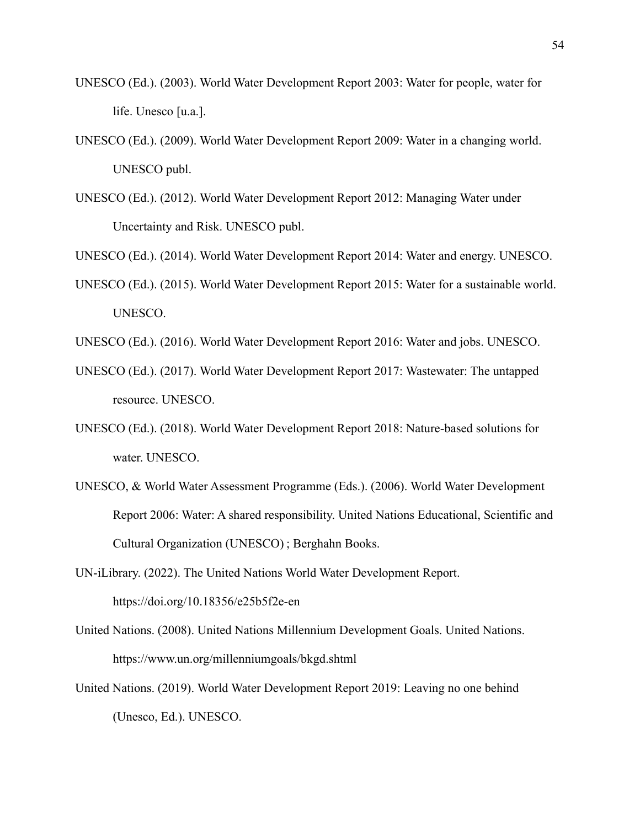- UNESCO (Ed.). (2003). World Water Development Report 2003: Water for people, water for life. Unesco [u.a.].
- UNESCO (Ed.). (2009). World Water Development Report 2009: Water in a changing world. UNESCO publ.
- UNESCO (Ed.). (2012). World Water Development Report 2012: Managing Water under Uncertainty and Risk. UNESCO publ.

UNESCO (Ed.). (2014). World Water Development Report 2014: Water and energy. UNESCO.

- UNESCO (Ed.). (2015). World Water Development Report 2015: Water for a sustainable world. UNESCO.
- UNESCO (Ed.). (2016). World Water Development Report 2016: Water and jobs. UNESCO.
- UNESCO (Ed.). (2017). World Water Development Report 2017: Wastewater: The untapped resource. UNESCO.
- UNESCO (Ed.). (2018). World Water Development Report 2018: Nature-based solutions for water. UNESCO.
- UNESCO, & World Water Assessment Programme (Eds.). (2006). World Water Development Report 2006: Water: A shared responsibility. United Nations Educational, Scientific and Cultural Organization (UNESCO) ; Berghahn Books.
- UN-iLibrary. (2022). The United Nations World Water Development Report. https://doi.org/10.18356/e25b5f2e-en
- United Nations. (2008). United Nations Millennium Development Goals. United Nations. https://www.un.org/millenniumgoals/bkgd.shtml
- United Nations. (2019). World Water Development Report 2019: Leaving no one behind (Unesco, Ed.). UNESCO.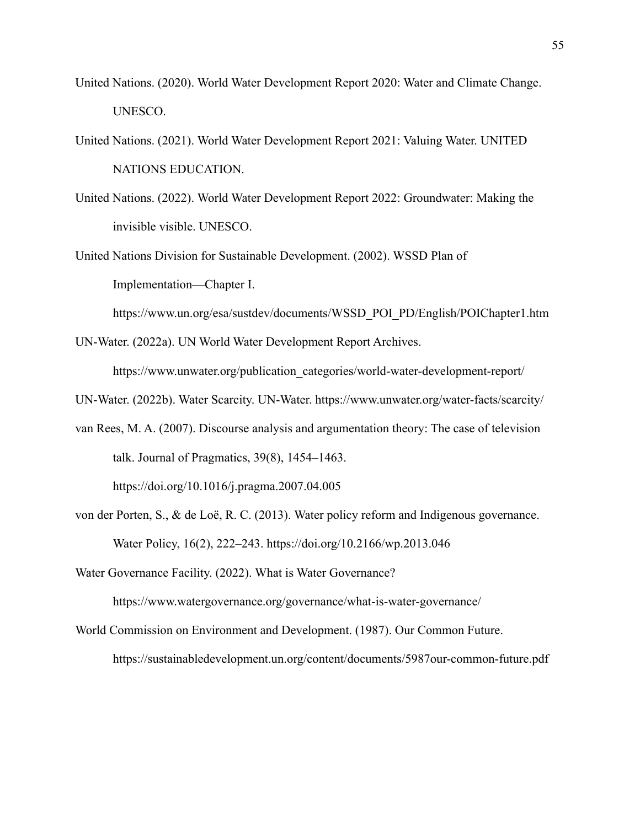- United Nations. (2020). World Water Development Report 2020: Water and Climate Change. UNESCO.
- United Nations. (2021). World Water Development Report 2021: Valuing Water. UNITED NATIONS EDUCATION.
- United Nations. (2022). World Water Development Report 2022: Groundwater: Making the invisible visible. UNESCO.

United Nations Division for Sustainable Development. (2002). WSSD Plan of Implementation—Chapter I.

https://www.un.org/esa/sustdev/documents/WSSD\_POI\_PD/English/POIChapter1.htm

UN-Water. (2022a). UN World Water Development Report Archives.

https://www.unwater.org/publication\_categories/world-water-development-report/

- UN-Water. (2022b). Water Scarcity. UN-Water. https://www.unwater.org/water-facts/scarcity/
- van Rees, M. A. (2007). Discourse analysis and argumentation theory: The case of television talk. Journal of Pragmatics, 39(8), 1454–1463.

https://doi.org/10.1016/j.pragma.2007.04.005

von der Porten, S., & de Loë, R. C. (2013). Water policy reform and Indigenous governance. Water Policy, 16(2), 222–243. https://doi.org/10.2166/wp.2013.046

Water Governance Facility. (2022). What is Water Governance?

https://www.watergovernance.org/governance/what-is-water-governance/

World Commission on Environment and Development. (1987). Our Common Future. https://sustainabledevelopment.un.org/content/documents/5987our-common-future.pdf